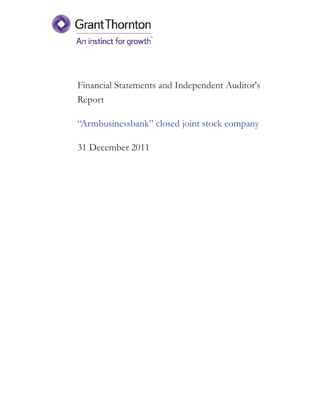

Financial Statements and Independent Auditor's Report

"Armbusinessbank" closed joint stock company

31 December 2011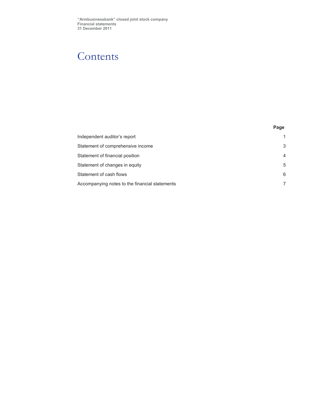**"Armbusinessbank" closed joint stock company Financial statements 31 December 2011**

## **Contents**

|                                                | Page |
|------------------------------------------------|------|
| Independent auditor's report                   |      |
| Statement of comprehensive income              | 3    |
| Statement of financial position                | 4    |
| Statement of changes in equity                 | 5    |
| Statement of cash flows                        | 6    |
| Accompanying notes to the financial statements | 7    |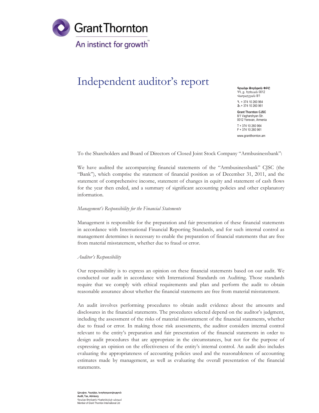

## Independent auditor's report

**4 Angle Angle Digital April** 33, p. bpb.wu 0012 **Hununguul 8/1** Ð. + 374 10 260 964

 $B + 374 10 260 961$ 

**Grant Thornton CJSC** 8/1 Vagharshyan Str. 0012 Yerevan, Armenia T + 374 10 260 964 F + 374 10 260 961

www.grantthornton.am

To the Shareholders and Board of Directors of Closed Joint Stock Company "Armbusinessbank":

We have audited the accompanying financial statements of the "Armbusinessbank" CJSC (the "Bank"), which comprise the statement of financial position as of December 31, 2011, and the statement of comprehensive income, statement of changes in equity and statement of cash flows for the year then ended, and a summary of significant accounting policies and other explanatory information.

## *Management's Responsibility for the Financial Statements*

Management is responsible for the preparation and fair presentation of these financial statements in accordance with International Financial Reporting Standards, and for such internal control as management determines is necessary to enable the preparation of financial statements that are free from material misstatement, whether due to fraud or error.

## *Auditor's Responsibility*

Our responsibility is to express an opinion on these financial statements based on our audit. We conducted our audit in accordance with International Standards on Auditing. Those standards require that we comply with ethical requirements and plan and perform the audit to obtain reasonable assurance about whether the financial statements are free from material misstatement.

An audit involves performing procedures to obtain audit evidence about the amounts and disclosures in the financial statements. The procedures selected depend on the auditor's judgment, including the assessment of the risks of material misstatement of the financial statements, whether due to fraud or error. In making those risk assessments, the auditor considers internal control relevant to the entity's preparation and fair presentation of the financial statements in order to design audit procedures that are appropriate in the circumstances, but not for the purpose of expressing an opinion on the effectiveness of the entity's internal control. An audit also includes evaluating the appropriateness of accounting policies used and the reasonableness of accounting estimates made by management, as well as evaluating the overall presentation of the financial statements.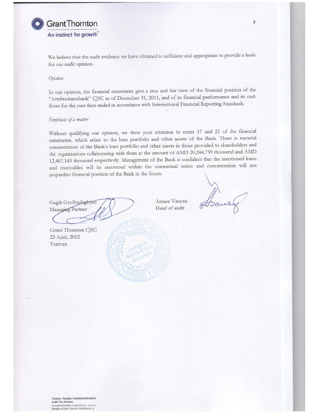

**Grant Thornton** 

## An instinct for growth

We believe that the audit evidence we have obtained is sufficient and appropriate to provide a basis for our audit opinion.

#### Opinion

In our opinion, the financial statements give a true and fair view of the financial position of the "Armbusinessbank" CJSC as of December 31, 2011, and of its financial performance and its cash flows for the year then ended in accordance with International Financial Reporting Standards.

#### Emphasis of a matter

Without qualifying our opinion, we draw your attention to notes 17 and 21 of the financial statements, which relate to the loan portfolio and other assets of the Bank. There is material concentration of the Bank's loan portfolio and other assets in those provided to shareholders and the organizations collaborating with them at the amount of AMD 20,244,759 thousand and AMD 12,467,143 thousand respectively. Management of the Bank is confident that the mentioned loans and receivables will be recovered within the contractual terms and concentration will not jeopardize financial position of the Bank in the future.

Gagik Gyulbudaghyan Managing Partner

Armen Vanyan Head of audit

Abause

Grant Thornton CJSC 23 April, 2012 Yerevan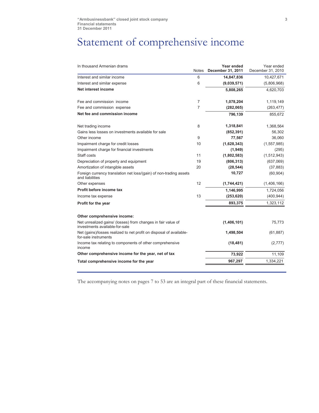# Statement of comprehensive income

| In thousand Armenian drams                                                                     | <b>Notes</b> | Year ended<br>December 31, 2011 | Year ended<br>December 31, 2010 |
|------------------------------------------------------------------------------------------------|--------------|---------------------------------|---------------------------------|
| Interest and similar income                                                                    | 6            | 14,847,836                      | 10,427,671                      |
| Interest and similar expense                                                                   | 6            | (9,039,571)                     | (5,806,968)                     |
| Net interest income                                                                            |              | 5,808,265                       | 4,620,703                       |
| Fee and commission income                                                                      | 7            | 1,078,204                       | 1,119,149                       |
| Fee and commission expense                                                                     | 7            | (282,065)                       | (263, 477)                      |
| Net fee and commission income                                                                  |              | 796,139                         | 855,672                         |
| Net trading income                                                                             | 8            | 1,318,841                       | 1,368,564                       |
| Gains less losses on investments available for sale                                            |              | (852, 391)                      | 56,302                          |
| Other income                                                                                   | 9            | 77,567                          | 36,060                          |
| Impairment charge for credit losses                                                            | 10           | (1,628,343)                     | (1,557,985)                     |
| Impairment charge for financial investments                                                    |              | (1,949)                         | (295)                           |
| Staff costs                                                                                    | 11           | (1,802,583)                     | (1,512,943)                     |
| Depreciation of property and equipment                                                         | 19           | (806, 313)                      | (637,069)                       |
| Amortization of intangible assets                                                              | 20           | (28, 544)                       | (37, 883)                       |
| Foreign currency translation net loss/(gain) of non-trading assets<br>and liabilities          |              | 10,727                          | (60, 904)                       |
| Other expenses                                                                                 | 12           | (1,744,421)                     | (1,406,166)                     |
| Profit before income tax                                                                       |              | 1,146,995                       | 1,724,056                       |
| Income tax expense                                                                             | 13           | (253, 620)                      | (400, 944)                      |
| Profit for the year                                                                            |              | 893,375                         | 1,323,112                       |
| Other comprehensive income:                                                                    |              |                                 |                                 |
| Net unrealized gains/ (losses) from changes in fair value of<br>investments available-for-sale |              | (1,406,101)                     | 75,773                          |
| Net (gains)/losses realized to net profit on disposal of available-<br>for-sale instruments    |              | 1,498,504                       | (61, 887)                       |
| Income tax relating to components of other comprehensive<br>income                             |              | (18, 481)                       | (2,777)                         |
| Other comprehensive income for the year, net of tax                                            |              | 73,922                          | 11,109                          |
| Total comprehensive income for the year                                                        |              | 967,297                         | 1,334,221                       |

The accompanying notes on pages 7 to 53 are an integral part of these financial statements.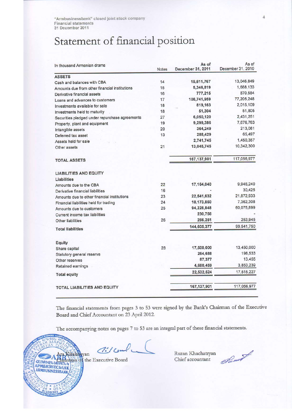"Armbusinessbank" closed joint stock company **Financial statements** 31 December 2011

# Statement of financial position

| In thousand Armenian drams                     | <b>Notes</b> | As of<br>December 31, 2011 | As of<br>December 31, 2010 |
|------------------------------------------------|--------------|----------------------------|----------------------------|
| <b>ASSETS</b>                                  |              |                            |                            |
| Cash and balances with CBA                     | 14           | 19,611,767                 | 13,046,849                 |
| Amounts due from other financial institutions  | 15           | 5,346,819                  | 1,688,133                  |
| Derivative financial assets                    | 16           | 777,215                    | 870,584                    |
| Loans and advances to customers                | 17           | 108,741,959                | 77,205,248                 |
| Investments available for sale                 | 18           | 819,163                    | 2,015,109                  |
| Investments held to maturity                   | 18           | 51,304                     | 51,805                     |
| Securities pledged under repurchase agreements | 27           | 6,050,120                  | 2,431,251                  |
| Property, plant and equipment                  | 19           | 9,299,386                  | 7,676,763                  |
| Intangible assets                              | 20           | 364,249                    | 213,081                    |
| Deferred tax asset                             | 13           | 288,429                    | 65,497                     |
| Assets held for sale                           |              | 2,741,745                  | 1,450,357                  |
| Other assets                                   | 21           | 13,045,745                 | 10,342,300                 |
| <b>TOTAL ASSETS</b>                            |              | 167, 137, 901              | 117,056,977                |
| <b>LIABILITIES AND EQUITY</b>                  |              |                            |                            |
| Liabilities                                    | 22           | 17,164,040                 | 9,946,240                  |
| Amounts due to the CBA                         | 16           |                            | 30,425                     |
| Derivative financial liabilities               | 23           | 22,541,632                 | 21,872,933                 |
| Amounts due to other financial institutions    | 24           | 10,173,850                 | 7,362,308                  |
| Financial liabilities held for trading         | 25           | 94,228,848                 | 60,075,899                 |
| Amounts due to customers                       |              | 230,756                    |                            |
| Current income tax liabilities                 | 26           | 266,251                    | 253,945                    |
| Other liabilities                              |              | 144,605,377                | 99,541,750                 |
| <b>Total liabilities</b>                       |              |                            |                            |
| Equity                                         |              |                            |                            |
| Share capital                                  | 28           | 17,500,000                 | 13,450,000                 |
| Statutory general reserve                      |              | 264,688                    | 198,533                    |
| Other reserves                                 |              | 87,377                     | 13,455                     |
| Retained earnings                              |              | 4,680,459                  | 3,853,239                  |
| <b>Total equity</b>                            |              | 22,532,524                 | 17,515,227                 |
| <b>TOTAL LIABILITIES AND EQUITY</b>            |              | 167, 137, 901              | 117,056,977                |
|                                                |              |                            |                            |

The financial statements from pages 3 to 53 were signed by the Bank's Chairman of the Executive Board and Chief Accountant on 23 April 2012.

The accompanying notes on pages 7 to 53 are an integral part of these financial statements.

cicla

man of the Executive Board

dfakosyan

**KUBAPPLEURULU АРМБИЗНЕСБАНК** ARMBUSINESSBANK

Ruzan Khachatryan Chief accountant

Punt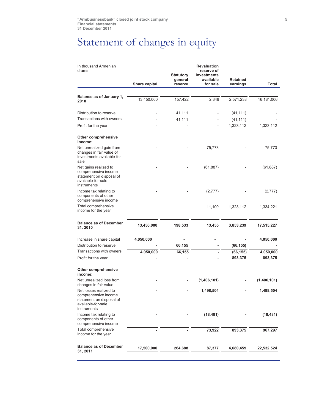# Statement of changes in equity

| In thousand Armenian<br>drams                                                                                   |                      | <b>Statutory</b><br>general | <b>Revaluation</b><br>reserve of<br>investments<br>available | Retained  |             |
|-----------------------------------------------------------------------------------------------------------------|----------------------|-----------------------------|--------------------------------------------------------------|-----------|-------------|
|                                                                                                                 | <b>Share capital</b> | reserve                     | for sale                                                     | earnings  | Total       |
|                                                                                                                 |                      |                             |                                                              |           |             |
| Balance as of January 1,<br>2010                                                                                | 13,450,000           | 157,422                     | 2,346                                                        | 2,571,238 | 16,181,006  |
| Distribution to reserve                                                                                         |                      | 41,111                      |                                                              | (41, 111) |             |
| Transactions with owners                                                                                        |                      | 41,111                      |                                                              | (41, 111) |             |
| Profit for the year                                                                                             |                      |                             |                                                              | 1,323,112 | 1,323,112   |
| Other comprehensive<br>income:                                                                                  |                      |                             |                                                              |           |             |
| Net unrealized gain from<br>changes in fair value of<br>investments available-for-<br>sale                      |                      |                             | 75,773                                                       |           | 75,773      |
| Net gains realized to<br>comprehensive income<br>statement on disposal of<br>available-for-sale<br>instruments  |                      |                             | (61, 887)                                                    |           | (61, 887)   |
| Income tax relating to<br>components of other<br>comprehensive income                                           |                      |                             | (2,777)                                                      |           | (2,777)     |
| Total comprehensive<br>income for the year                                                                      |                      |                             | 11,109                                                       | 1,323,112 | 1,334,221   |
| <b>Balance as of December</b><br>31, 2010                                                                       | 13,450,000           | 198,533                     | 13,455                                                       | 3,853,239 | 17,515,227  |
| Increase in share capital                                                                                       | 4,050,000            |                             |                                                              |           | 4,050,000   |
| Distribution to reserve                                                                                         |                      | 66,155                      |                                                              | (66, 155) |             |
| Transactions with owners                                                                                        | 4,050,000            | 66,155                      |                                                              | (66, 155) | 4,050,000   |
| Profit for the year                                                                                             |                      |                             |                                                              | 893,375   | 893,375     |
| Other comprehensive<br>income:                                                                                  |                      |                             |                                                              |           |             |
| Net unrealized loss from<br>changes in fair value                                                               |                      |                             | (1,406,101)                                                  |           | (1,406,101) |
| Net losses realized to<br>comprehensive income<br>statement on disposal of<br>available-for-sale<br>instruments |                      |                             | 1,498,504                                                    |           | 1,498,504   |
| Income tax relating to<br>components of other<br>comprehensive income                                           |                      |                             | (18, 481)                                                    |           | (18, 481)   |
| Total comprehensive<br>income for the year                                                                      |                      |                             | 73,922                                                       | 893,375   | 967,297     |
| <b>Balance as of December</b><br>31, 2011                                                                       | 17,500,000           | 264,688                     | 87,377                                                       | 4,680,459 | 22,532,524  |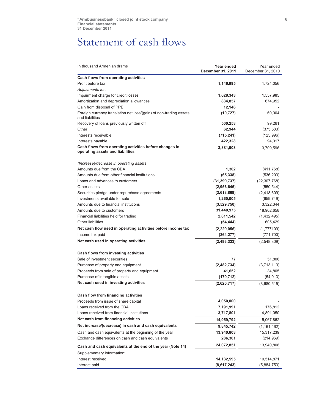## Statement of cash flows

| In thousand Armenian drams                                                                 | Year ended<br>December 31, 2011 | Year ended<br>December 31, 2010 |
|--------------------------------------------------------------------------------------------|---------------------------------|---------------------------------|
| Cash flows from operating activities                                                       |                                 |                                 |
| Profit before tax                                                                          | 1,146,995                       | 1,724,056                       |
| Adiustments for:                                                                           |                                 |                                 |
| Impairment charge for credit losses                                                        | 1,628,343                       | 1,557,985                       |
| Amortization and depreciation allowances                                                   | 834,857                         | 674,952                         |
| Gain from disposal of PPE                                                                  | 12,146                          |                                 |
| Foreign currency translation net loss/(gain) of non-trading assets<br>and liabilities      | (10, 727)                       | 60,904                          |
| Recovery of loans previously written off                                                   | 500,258                         | 99,261                          |
| Other                                                                                      | 62,944                          | (375, 583)                      |
| Interests receivable                                                                       | (715, 241)                      | (125, 996)                      |
| Interests payable                                                                          | 422,328                         | 94,017                          |
| Cash flows from operating activities before changes in<br>operating assets and liabilities | 3,881,903                       | 3,709,596                       |
| (Increase)/decrease in operating assets                                                    |                                 |                                 |
| Amounts due from the CBA                                                                   | 1,302                           | (411, 768)                      |
| Amounts due from other financial institutions                                              | (65, 338)                       | (536, 203)                      |
| Loans and advances to customers                                                            | (31, 399, 737)                  | (22, 307, 768)                  |
| Other assets                                                                               | (2,956,645)                     | (550, 544)                      |
| Securities pledge under repurchase agreements                                              | (3,618,869)                     | (2,418,609)                     |
| Investments available for sale                                                             | 1,260,005                       | (659, 749)                      |
| Amounts due to financial institutions                                                      | (3,529,750)                     | 3,322,344                       |
| Amounts due to customers                                                                   | 31,440,975                      | 18,902,658                      |
| Financial liabilities held for trading                                                     | 2,811,542                       | (1,432,495)                     |
| <b>Other liabilities</b>                                                                   | (54,444)                        | 605,429                         |
| Net cash flow used in operating activities before income tax                               | (2, 229, 056)                   | (1,777109)                      |
| Income tax paid                                                                            | (264, 277)                      | (771, 700)                      |
| Net cash used in operating activities                                                      | (2, 493, 333)                   | (2,548,809)                     |
| Cash flows from investing activities                                                       |                                 |                                 |
| Sale of investment securities                                                              | 77                              | 51,806                          |
| Purchase of property and equipment                                                         | (2,482,734)                     | (3,713,113)                     |
| Proceeds from sale of property and equipment                                               | 41,652                          | 34,805                          |
| Purchase of intangible assets                                                              | (179, 712)                      | (54, 013)                       |
| Net cash used in investing activities                                                      | (2,620,717)                     | (3,680,515)                     |
| Cash flow from financing activities                                                        |                                 |                                 |
| Proceeds from issue of share capital                                                       | 4,050,000                       |                                 |
| Loans received from the CBA                                                                | 7,191,991                       | 176,812                         |
| Loans received from financial institutions                                                 | 3,717,801                       | 4,891,050                       |
| Net cash from financing activities                                                         | 14,959,792                      | 5,067,862                       |
| Net increase/(decrease) in cash and cash equivalents                                       | 9,845,742                       | (1, 161, 462)                   |
| Cash and cash equivalents at the beginning of the year                                     | 13,940,808                      | 15,317,239                      |
| Exchange differences on cash and cash equivalents                                          | 286,301                         | (214, 969)                      |
| Cash and cash equivalents at the end of the year (Note 14)                                 | 24,072,851                      | 13,940,808                      |
| Supplementary information:                                                                 |                                 |                                 |
| Interest received                                                                          | 14, 132, 595                    | 10,514,871                      |
| Interest paid                                                                              | (8,617,243)                     | (5,884,753)                     |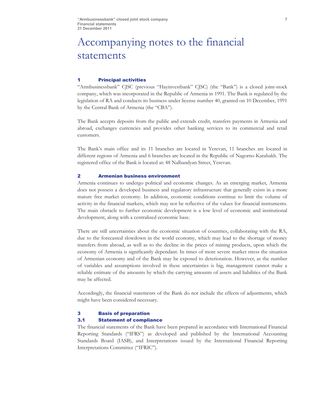# Accompanying notes to the financial statements

## **Principal activities**

"Armbusinessbank" CJSC (previous "Hayinvestbank" CJSC) (the "Bank") is a closed joint-stock company, which was incorporated in the Republic of Armenia in 1991. The Bank is regulated by the legislation of RA and conducts its business under license number 40, granted on 10 December, 1991 by the Central Bank of Armenia (the "CBA").

The Bank accepts deposits from the public and extends credit, transfers payments in Armenia and abroad, exchanges currencies and provides other banking services to its commercial and retail customers.

The Bank's main office and its 11 branches are located in Yerevan, 11 branches are located in different regions of Armenia and 6 branches are located in the Republic of Nagorno Karabakh. The registered office of the Bank is located at: 48 Nalbandyan Street, Yerevan.

## 2 Armenian business environment

Armenia continues to undergo political and economic changes. As an emerging market, Armenia does not possess a developed business and regulatory infrastructure that generally exists in a more mature free market economy. In addition, economic conditions continue to limit the volume of activity in the financial markets, which may not be reflective of the values for financial instruments. The main obstacle to further economic development is a low level of economic and institutional development, along with a centralized economic base.

There are still uncertainties about the economic situation of countries, collaborating with the RA, due to the forecasted slowdown in the world economy, which may lead to the shortage of money transfers from abroad, as well as to the decline in the prices of mining products, upon which the economy of Armenia is significantly dependant. In times of more severe market stress the situation of Armenian economy and of the Bank may be exposed to deterioration. However, as the number of variables and assumptions involved in these uncertainties is big, management cannot make a reliable estimate of the amounts by which the carrying amounts of assets and liabilities of the Bank may be affected.

Accordingly, the financial statements of the Bank do not include the effects of adjustments, which might have been considered necessary.

## 3 Basis of preparation

## 3.1 Statement of compliance

The financial statements of the Bank have been prepared in accordance with International Financial Reporting Standards ("IFRS") as developed and published by the International Accounting Standards Board (IASB), and Interpretations issued by the International Financial Reporting Interpretations Committee ("IFRIC").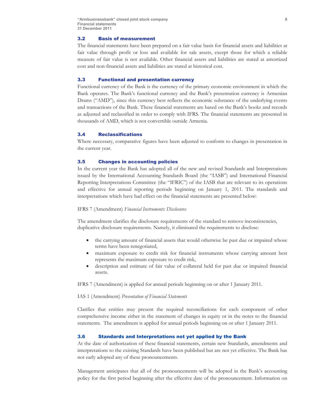**"Armbusinessbank" closed joint stock company 8 Financial statements 31 December 2011**

## 3.2 Basis of measurement

The financial statements have been prepared on a fair value basis for financial assets and liabilities at fair value through profit or loss and available for sale assets, except those for which a reliable measure of fair value is not available. Other financial assets and liabilities are stated at amortized cost and non-financial assets and liabilities are stated at historical cost.

## 3.3 Functional and presentation currency

Functional currency of the Bank is the currency of the primary economic environment in which the Bank operates. The Bank's functional currency and the Bank's presentation currency is Armenian Drams ("AMD"), since this currency best reflects the economic substance of the underlying events and transactions of the Bank. These financial statements are based on the Bank's books and records as adjusted and reclassified in order to comply with IFRS. The financial statements are presented in thousands of AMD, which is not convertible outside Armenia.

## 3.4 Reclassifications

Where necessary, comparative figures have been adjusted to conform to changes in presentation in the current year.

## 3.5 Changes in accounting policies

In the current year the Bank has adopted all of the new and revised Standards and Interpretations issued by the International Accounting Standards Board (the "IASB") and International Financial Reporting Interpretations Committee (the "IFRIC") of the IASB that are relevant to its operations and effective for annual reporting periods beginning on January 1, 2011. The standards and interpretations which have had effect on the financial statements are presented below:

#### IFRS 7 (Amendment) *Financial Instruments: Disclosures*

The amendment clarifies the disclosure requirements of the standard to remove inconsistencies, duplicative disclosure requirements. Namely, it eliminated the requirements to disclose:

- the carrying amount of financial assets that would otherwise be past due or impaired whose terms have been renegotiated,
- maximum exposure to credit risk for financial instruments whose carrying amount best represents the maximum exposure to credit risk,
- description and estimate of fair value of collateral held for past due or impaired financial assets.

IFRS 7 (Amendment) is applied for annual periods beginning on or after 1 January 2011.

#### IAS 1 (Amendment) *Presentation of Financial Statements*

Clarifies that entities may present the required reconciliations for each component of other comprehensive income either in the statement of changes in equity or in the notes to the financial statements. The amendment is applied for annual periods beginning on or after 1 January 2011.

## 3.6 Standards and Interpretations not yet applied by the Bank

At the date of authorization of these financial statements, certain new Standards, amendments and interpretations to the existing Standards have been published but are not yet effective. The Bank has not early adopted any of these pronouncements.

Management anticipates that all of the pronouncements will be adopted in the Bank's accounting policy for the first period beginning after the effective date of the pronouncement. Information on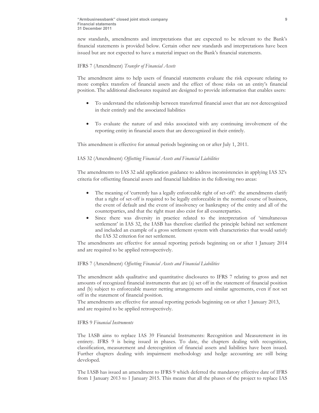new standards, amendments and interpretations that are expected to be relevant to the Bank's financial statements is provided below. Certain other new standards and interpretations have been issued but are not expected to have a material impact on the Bank's financial statements.

## IFRS 7 (Amendment) *Transfer of Financial Assets*

The amendment aims to help users of financial statements evaluate the risk exposure relating to more complex transfers of financial assets and the effect of those risks on an entity's financial position. The additional disclosures required are designed to provide information that enables users:

- To understand the relationship between transferred financial asset that are not derecognized in their entirely and the associated liabilities
- x To evaluate the nature of and risks associated with any continuing involvement of the reporting entity in financial assets that are derecognized in their entirely.

This amendment is effective for annual periods beginning on or after July 1, 2011.

## IAS 32 (Amendment) *Offsetting Financial Assets and Financial Liabilities*

The amendments to IAS 32 add application guidance to address inconsistencies in applying IAS 32's criteria for offsetting financial assets and financial liabilities in the following two areas:

- The meaning of 'currently has a legally enforceable right of set-off': the amendments clarify that a right of set-off is required to be legally enforceable in the normal course of business, the event of default and the event of insolvency or bankruptcy of the entity and all of the counterparties, and that the right must also exist for all counterparties.
- Since there was diversity in practice related to the interpretation of 'simultaneous settlement' in IAS 32, the IASB has therefore clarified the principle behind net settlement and included an example of a gross settlement system with characteristics that would satisfy the IAS 32 criterion for net settlement.

The amendments are effective for annual reporting periods beginning on or after 1 January 2014 and are required to be applied retrospectively.

## IFRS 7 (Amendment) *Offsetting Financial Assets and Financial Liabilities*

The amendment adds qualitative and quantitative disclosures to IFRS 7 relating to gross and net amounts of recognized financial instruments that are (a) set off in the statement of financial position and (b) subject to enforceable master netting arrangements and similar agreements, even if not set off in the statement of financial position.

The amendments are effective for annual reporting periods beginning on or after 1 January 2013, and are required to be applied retrospectively.

## IFRS 9 *Financial Instruments*

The IASB aims to replace IAS 39 Financial Instruments: Recognition and Measurement in its entirety. IFRS 9 is being issued in phases. To date, the chapters dealing with recognition, classification, measurement and derecognition of financial assets and liabilities have been issued. Further chapters dealing with impairment methodology and hedge accounting are still being developed.

The IASB has issued an amendment to IFRS 9 which deferred the mandatory effective date of IFRS from 1 January 2013 to 1 January 2015. This means that all the phases of the project to replace IAS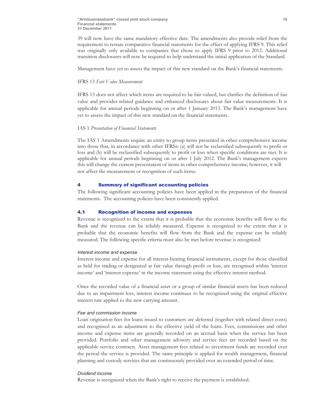39 will now have the same mandatory effective date. The amendments also provide relief from the requirement to restate comparative financial statements for the effect of applying IFRS 9. This relief was originally only available to companies that chose to apply IFRS 9 prior to 2012. Additional transition disclosures will now be required to help understand the initial application of the Standard.

Management have yet to assess the impact of this new standard on the Bank's financial statements.

## IFRS 13 *Fair Value Measurement*

IFRS 13 does not affect which items are required to be fair-valued, but clarifies the definition of fair value and provides related guidance and enhanced disclosures about fair value measurements. It is applicable for annual periods beginning on or after 1 January 2013. The Bank's management have yet to assess the impact of this new standard on the financial statements.

## IAS 1 *Presentation of Financial Statements*

The IAS 1 Amendments require an entity to group items presented in other comprehensive income into those that, in accordance with other IFRSs: (a) will not be reclassified subsequently to profit or loss and (b) will be reclassified subsequently to profit or loss when specific conditions are met. It is applicable for annual periods beginning on or after 1 July 2012. The Bank's management expects this will change the current presentation of items in other comprehensive income; however, it will not affect the measurement or recognition of such items.

## 4 Summary of significant accounting policies

The following significant accounting policies have been applied in the preparation of the financial statements. The accounting policies have been consistently applied.

## 4.1 Recognition of income and expenses

Revenue is recognized to the extent that it is probable that the economic benefits will flow to the Bank and the revenue can be reliably measured. Expense is recognized to the extent that it is probable that the economic benefits will flow from the Bank and the expense can be reliably measured. The following specific criteria must also be met before revenue is recognized:

## *Interest income and expense*

Interest income and expense for all interest-bearing financial instruments, except for those classified as held for trading or designated at fair value through profit or loss, are recognised within 'interest income' and 'interest expense' in the income statement using the effective interest method.

Once the recorded value of a financial asset or a group of similar financial assets has been reduced due to an impairment loss, interest income continues to be recognized using the original effective interest rate applied to the new carrying amount.

## *Fee and commission income*

Loan origination fees for loans issued to customers are deferred (together with related direct costs) and recognised as an adjustment to the effective yield of the loans. Fees, commissions and other income and expense items are generally recorded on an accrual basis when the service has been provided. Portfolio and other management advisory and service fees are recorded based on the applicable service contracts. Asset management fees related to investment funds are recorded over the period the service is provided. The same principle is applied for wealth management, financial planning and custody services that are continuously provided over an extended period of time.

## *Dividend income*

Revenue is recognized when the Bank's right to receive the payment is established.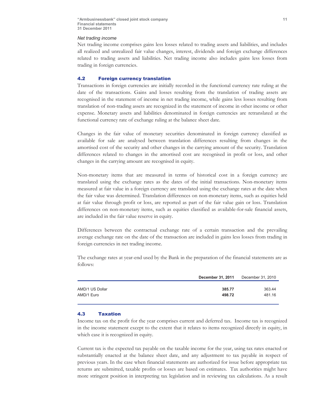**"Armbusinessbank" closed joint stock company 11 Financial statements 31 December 2011**

## *Net trading income*

Net trading income comprises gains less losses related to trading assets and liabilities, and includes all realized and unrealized fair value changes, interest, dividends and foreign exchange differences related to trading assets and liabilities. Net trading income also includes gains less losses from trading in foreign currencies.

#### 4.2 Foreign currency translation

Transactions in foreign currencies are initially recorded in the functional currency rate ruling at the date of the transactions. Gains and losses resulting from the translation of trading assets are recognised in the statement of income in net trading income, while gains less losses resulting from translation of non-trading assets are recognized in the statement of income in other income or other expense. Monetary assets and liabilities denominated in foreign currencies are retranslated at the functional currency rate of exchange ruling at the balance sheet date.

Changes in the fair value of monetary securities denominated in foreign currency classified as available for sale are analysed between translation differences resulting from changes in the amortised cost of the security and other changes in the carrying amount of the security. Translation differences related to changes in the amortised cost are recognised in profit or loss, and other changes in the carrying amount are recognised in equity.

Non-monetary items that are measured in terms of historical cost in a foreign currency are translated using the exchange rates as the dates of the initial transactions. Non-monetary items measured at fair value in a foreign currency are translated using the exchange rates at the date when the fair value was determined. Translation differences on non-monetary items, such as equities held at fair value through profit or loss, are reported as part of the fair value gain or loss. Translation differences on non-monetary items, such as equities classified as available-for-sale financial assets, are included in the fair value reserve in equity.

Differences between the contractual exchange rate of a certain transaction and the prevailing average exchange rate on the date of the transaction are included in gains less losses from trading in foreign currencies in net trading income.

The exchange rates at year-end used by the Bank in the preparation of the financial statements are as follows:

|                 | December 31, 2011 | December 31, 2010 |
|-----------------|-------------------|-------------------|
| AMD/1 US Dollar | 385.77            | 363.44            |
| AMD/1 Euro      | 498.72            | 481.16            |
|                 |                   |                   |

#### 4.3 Taxation

Income tax on the profit for the year comprises current and deferred tax. Income tax is recognized in the income statement except to the extent that it relates to items recognized directly in equity, in which case it is recognized in equity.

Current tax is the expected tax payable on the taxable income for the year, using tax rates enacted or substantially enacted at the balance sheet date, and any adjustment to tax payable in respect of previous years. In the case when financial statements are authorized for issue before appropriate tax returns are submitted, taxable profits or losses are based on estimates. Tax authorities might have more stringent position in interpreting tax legislation and in reviewing tax calculations. As a result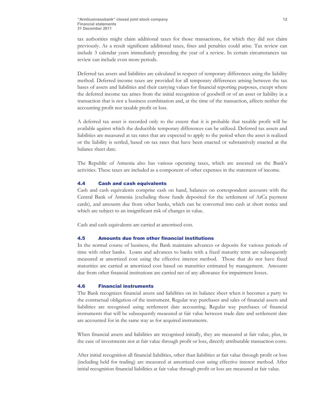tax authorities might claim additional taxes for those transactions, for which they did not claim previously. As a result significant additional taxes, fines and penalties could arise. Tax review can include 3 calendar years immediately preceding the year of a review. In certain circumstances tax review can include even more periods.

Deferred tax assets and liabilities are calculated in respect of temporary differences using the liability method. Deferred income taxes are provided for all temporary differences arising between the tax bases of assets and liabilities and their carrying values for financial reporting purposes, except where the deferred income tax arises from the initial recognition of goodwill or of an asset or liability in a transaction that is not a business combination and, at the time of the transaction, affects neither the accounting profit nor taxable profit or loss.

A deferred tax asset is recorded only to the extent that it is probable that taxable profit will be available against which the deductible temporary differences can be utilized. Deferred tax assets and liabilities are measured at tax rates that are expected to apply to the period when the asset is realized or the liability is settled, based on tax rates that have been enacted or substantively enacted at the balance sheet date.

The Republic of Armenia also has various operating taxes, which are assessed on the Bank's activities. These taxes are included as a component of other expenses in the statement of income.

## 4.4 Cash and cash equivalents

Cash and cash equivalents comprise cash on hand, balances on correspondent accounts with the Central Bank of Armenia (excluding those funds deposited for the settlement of ArCa payment cards), and amounts due from other banks, which can be converted into cash at short notice and which are subject to an insignificant risk of changes in value.

Cash and cash equivalents are carried at amortised cost.

## 4.5 Amounts due from other financial institutions

In the normal course of business, the Bank maintains advances or deposits for various periods of time with other banks. Loans and advances to banks with a fixed maturity term are subsequently measured at amortized cost using the effective interest method. Those that do not have fixed maturities are carried at amortized cost based on maturities estimated by management. Amounts due from other financial institutions are carried net of any allowance for impairment losses.

## 4.6 Financial instruments

The Bank recognizes financial assets and liabilities on its balance sheet when it becomes a party to the contractual obligation of the instrument. Regular way purchases and sales of financial assets and liabilities are recognised using settlement date accounting. Regular way purchases of financial instruments that will be subsequently measured at fair value between trade date and settlement date are accounted for in the same way as for acquired instruments.

When financial assets and liabilities are recognised initially, they are measured at fair value, plus, in the case of investments not at fair value through profit or loss, directly attributable transaction costs.

After initial recognition all financial liabilities, other than liabilities at fair value through profit or loss (including held for trading) are measured at amortized cost using effective interest method. After initial recognition financial liabilities at fair value through profit or loss are measured at fair value.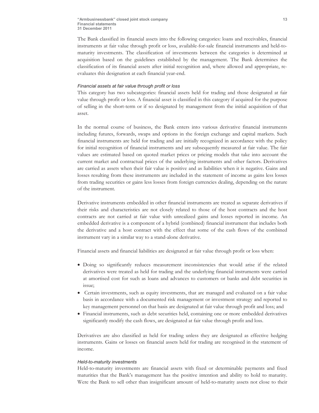The Bank classified its financial assets into the following categories: loans and receivables, financial instruments at fair value through profit or loss, available-for-sale financial instruments and held-tomaturity investments. The classification of investments between the categories is determined at acquisition based on the guidelines established by the management. The Bank determines the classification of its financial assets after initial recognition and, where allowed and appropriate, reevaluates this designation at each financial year-end.

## *Financial assets at fair value through profit or loss*

This category has two subcategories: financial assets held for trading and those designated at fair value through profit or loss. A financial asset is classified in this category if acquired for the purpose of selling in the short-term or if so designated by management from the initial acquisition of that asset.

In the normal course of business, the Bank enters into various derivative financial instruments including futures, forwards, swaps and options in the foreign exchange and capital markets. Such financial instruments are held for trading and are initially recognized in accordance with the policy for initial recognition of financial instruments and are subsequently measured at fair value. The fair values are estimated based on quoted market prices or pricing models that take into account the current market and contractual prices of the underlying instruments and other factors. Derivatives are carried as assets when their fair value is positive and as liabilities when it is negative. Gains and losses resulting from these instruments are included in the statement of income as gains less losses from trading securities or gains less losses from foreign currencies dealing, depending on the nature of the instrument.

Derivative instruments embedded in other financial instruments are treated as separate derivatives if their risks and characteristics are not closely related to those of the host contracts and the host contracts are not carried at fair value with unrealized gains and losses reported in income. An embedded derivative is a component of a hybrid (combined) financial instrument that includes both the derivative and a host contract with the effect that some of the cash flows of the combined instrument vary in a similar way to a stand-alone derivative.

Financial assets and financial liabilities are designated at fair value through profit or loss when:

- Doing so significantly reduces measurement inconsistencies that would arise if the related derivatives were treated as held for trading and the underlying financial instruments were carried at amortised cost for such as loans and advances to customers or banks and debt securities in issue;
- x Certain investments, such as equity investments, that are managed and evaluated on a fair value basis in accordance with a documented risk management or investment strategy and reported to key management personnel on that basis are designated at fair value through profit and loss; and
- x Financial instruments, such as debt securities held, containing one or more embedded derivatives significantly modify the cash flows, are designated at fair value through profit and loss.

Derivatives are also classified as held for trading unless they are designated as effective hedging instruments. Gains or losses on financial assets held for trading are recognised in the statement of income.

#### *Held-to-maturity investments*

Held-to-maturity investments are financial assets with fixed or determinable payments and fixed maturities that the Bank's management has the positive intention and ability to hold to maturity. Were the Bank to sell other than insignificant amount of held-to-maturity assets not close to their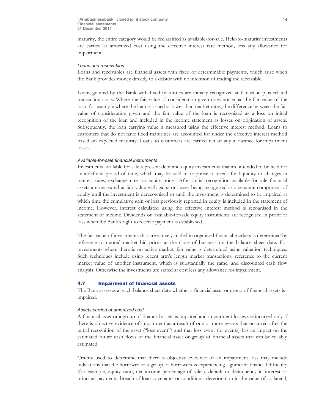maturity, the entire category would be reclassified as available-for-sale. Held-to-maturity investments are carried at amortized cost using the effective interest rate method, less any allowance for impairment.

#### *Loans and receivables*

Loans and receivables are financial assets with fixed or determinable payments, which arise when the Bank provides money directly to a debtor with no intention of trading the receivable.

Loans granted by the Bank with fixed maturities are initially recognized at fair value plus related transaction costs. Where the fair value of consideration given does not equal the fair value of the loan, for example where the loan is issued at lower than market rates, the difference between the fair value of consideration given and the fair value of the loan is recognized as a loss on initial recognition of the loan and included in the income statement as losses on origination of assets. Subsequently, the loan carrying value is measured using the effective interest method. Loans to customers that do not have fixed maturities are accounted for under the effective interest method based on expected maturity. Loans to customers are carried net of any allowance for impairment losses.

## *Available-for-sale financial instruments*

Investments available for sale represent debt and equity investments that are intended to be held for an indefinite period of time, which may be sold in response to needs for liquidity or changes in interest rates, exchange rates or equity prices. After initial recognition available-for sale financial assets are measured at fair value with gains or losses being recognised as a separate component of equity until the investment is derecognised or until the investment is determined to be impaired at which time the cumulative gain or loss previously reported in equity is included in the statement of income. However, interest calculated using the effective interest method is recognised in the statement of income. Dividends on available-for-sale equity instruments are recognised in profit or loss when the Bank's right to receive payment is established.

The fair value of investments that are actively traded in organised financial markets is determined by reference to quoted market bid prices at the close of business on the balance sheet date. For investments where there is no active market, fair value is determined using valuation techniques. Such techniques include using recent arm's length market transactions, reference to the current market value of another instrument, which is substantially the same, and discounted cash flow analysis. Otherwise the investments are stated at cost less any allowance for impairment.

#### 4.7 Impairment of financial assets

The Bank assesses at each balance sheet date whether a financial asset or group of financial assets is impaired.

#### *Assets carried at amortized cost*

A financial asset or a group of financial assets is impaired and impairment losses are incurred only if there is objective evidence of impairment as a result of one or more events that occurred after the initial recognition of the asset ("loss event") and that loss event (or events) has an impact on the estimated future cash flows of the financial asset or group of financial assets that can be reliably estimated.

Criteria used to determine that there is objective evidence of an impairment loss may include indications that the borrower or a group of borrowers is experiencing significant financial difficulty (for example, equity ratio, net income percentage of sales), default or delinquency in interest or principal payments, breach of loan covenants or conditions, deterioration in the value of collateral,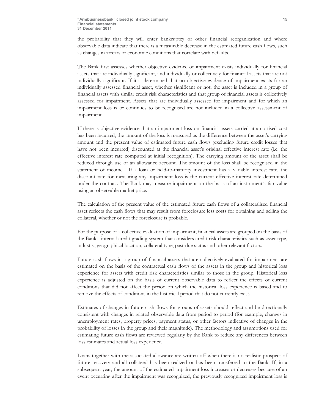the probability that they will enter bankruptcy or other financial reorganization and where observable data indicate that there is a measurable decrease in the estimated future cash flows, such as changes in arrears or economic conditions that correlate with defaults.

The Bank first assesses whether objective evidence of impairment exists individually for financial assets that are individually significant, and individually or collectively for financial assets that are not individually significant. If it is determined that no objective evidence of impairment exists for an individually assessed financial asset, whether significant or not, the asset is included in a group of financial assets with similar credit risk characteristics and that group of financial assets is collectively assessed for impairment. Assets that are individually assessed for impairment and for which an impairment loss is or continues to be recognised are not included in a collective assessment of impairment.

If there is objective evidence that an impairment loss on financial assets carried at amortised cost has been incurred, the amount of the loss is measured as the difference between the asset's carrying amount and the present value of estimated future cash flows (excluding future credit losses that have not been incurred) discounted at the financial asset's original effective interest rate (i.e. the effective interest rate computed at initial recognition). The carrying amount of the asset shall be reduced through use of an allowance account. The amount of the loss shall be recognised in the statement of income. If a loan or held-to-maturity investment has a variable interest rate, the discount rate for measuring any impairment loss is the current effective interest rate determined under the contract. The Bank may measure impairment on the basis of an instrument's fair value using an observable market price.

The calculation of the present value of the estimated future cash flows of a collateralised financial asset reflects the cash flows that may result from foreclosure less costs for obtaining and selling the collateral, whether or not the foreclosure is probable.

For the purpose of a collective evaluation of impairment, financial assets are grouped on the basis of the Bank's internal credit grading system that considers credit risk characteristics such as asset type, industry, geographical location, collateral type, past-due status and other relevant factors.

Future cash flows in a group of financial assets that are collectively evaluated for impairment are estimated on the basis of the contractual cash flows of the assets in the group and historical loss experience for assets with credit risk characteristics similar to those in the group. Historical loss experience is adjusted on the basis of current observable data to reflect the effects of current conditions that did not affect the period on which the historical loss experience is based and to remove the effects of conditions in the historical period that do not currently exist.

Estimates of changes in future cash flows for groups of assets should reflect and be directionally consistent with changes in related observable data from period to period (for example, changes in unemployment rates, property prices, payment status, or other factors indicative of changes in the probability of losses in the group and their magnitude). The methodology and assumptions used for estimating future cash flows are reviewed regularly by the Bank to reduce any differences between loss estimates and actual loss experience.

Loans together with the associated allowance are written off when there is no realistic prospect of future recovery and all collateral has been realized or has been transferred to the Bank. If, in a subsequent year, the amount of the estimated impairment loss increases or decreases because of an event occurring after the impairment was recognized, the previously recognized impairment loss is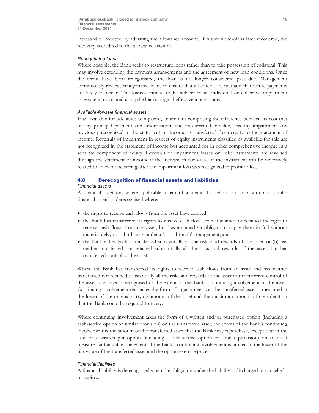increased or reduced by adjusting the allowance account. If future write-off is later recovered, the recovery is credited to the allowance account.

#### *Renegotiated loans*

Where possible, the Bank seeks to restructure loans rather than to take possession of collateral. This may involve extending the payment arrangements and the agreement of new loan conditions. Once the terms have been renegotiated, the loan is no longer considered past due. Management continuously reviews renegotiated loans to ensure that all criteria are met and that future payments are likely to occur. The loans continue to be subject to an individual or collective impairment assessment, calculated using the loan's original effective interest rate.

## *Available-for-sale financial assets*

If an available-for-sale asset is impaired, an amount comprising the difference between its cost (net of any principal payment and amortization) and its current fair value, less any impairment loss previously recognized in the statement on income, is transferred from equity to the statement of income. Reversals of impairment in respect of equity instruments classified as available-for-sale are not recognized in the statement of income but accounted for in other comprehensive income in a separate component of equity. Reversals of impairment losses on debt instruments are reversed through the statement of income if the increase in fair value of the instrument can be objectively related to an event occurring after the impairment loss was recognized in profit or loss.

## 4.8 Derecognition of financial assets and liabilities

#### *Financial assets*

A financial asset (or, where applicable a part of a financial asset or part of a group of similar financial assets) is derecognised where:

- the rights to receive cash flows from the asset have expired;
- the Bank has transferred its rights to receive cash flows from the asset, or retained the right to receive cash flows from the asset, but has assumed an obligation to pay them in full without material delay to a third party under a 'pass-through' arrangement; and
- the Bank either (a) has transferred substantially all the risks and rewards of the asset, or (b) has neither transferred nor retained substantially all the risks and rewards of the asset, but has transferred control of the asset.

Where the Bank has transferred its rights to receive cash flows from an asset and has neither transferred nor retained substantially all the risks and rewards of the asset nor transferred control of the asset, the asset is recognised to the extent of the Bank's continuing involvement in the asset. Continuing involvement that takes the form of a guarantee over the transferred asset is measured at the lower of the original carrying amount of the asset and the maximum amount of consideration that the Bank could be required to repay.

Where continuing involvement takes the form of a written and/or purchased option (including a cash-settled option or similar provision) on the transferred asset, the extent of the Bank's continuing involvement is the amount of the transferred asset that the Bank may repurchase, except that in the case of a written put option (including a cash-settled option or similar provision) on an asset measured at fair value, the extent of the Bank's continuing involvement is limited to the lower of the fair value of the transferred asset and the option exercise price.

## *Financial liabilities*

A financial liability is derecognised when the obligation under the liability is discharged or cancelled or expires.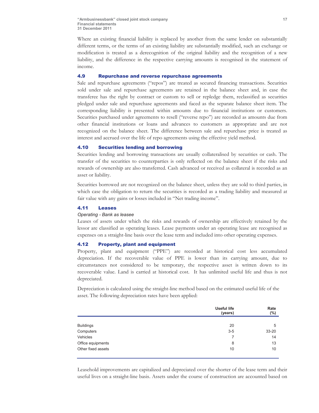Where an existing financial liability is replaced by another from the same lender on substantially different terms, or the terms of an existing liability are substantially modified, such an exchange or modification is treated as a derecognition of the original liability and the recognition of a new liability, and the difference in the respective carrying amounts is recognised in the statement of income.

## 4.9 Repurchase and reverse repurchase agreements

Sale and repurchase agreements ("repos") are treated as secured financing transactions. Securities sold under sale and repurchase agreements are retained in the balance sheet and, in case the transferee has the right by contract or custom to sell or repledge them, reclassified as securities pledged under sale and repurchase agreements and faced as the separate balance sheet item. The corresponding liability is presented within amounts due to financial institutions or customers. Securities purchased under agreements to resell ("reverse repo") are recorded as amounts due from other financial institutions or loans and advances to customers as appropriate and are not recognized on the balance sheet. The difference between sale and repurchase price is treated as interest and accrued over the life of repo agreements using the effective yield method.

## 4.10 Securities lending and borrowing

Securities lending and borrowing transactions are usually collateralised by securities or cash. The transfer of the securities to counterparties is only reflected on the balance sheet if the risks and rewards of ownership are also transferred. Cash advanced or received as collateral is recorded as an asset or liability.

Securities borrowed are not recognized on the balance sheet, unless they are sold to third parties, in which case the obligation to return the securities is recorded as a trading liability and measured at fair value with any gains or losses included in "Net trading income".

#### 4.11 Leases

#### *Operating - Bank as leasee*

Leases of assets under which the risks and rewards of ownership are effectively retained by the lessor are classified as operating leases. Lease payments under an operating lease are recognised as expenses on a straight-line basis over the lease term and included into other operating expenses.

#### 4.12 Property, plant and equipment

Property, plant and equipment ("PPE") are recorded at historical cost less accumulated depreciation. If the recoverable value of PPE is lower than its carrying amount, due to circumstances not considered to be temporary, the respective asset is written down to its recoverable value. Land is carried at historical cost. It has unlimited useful life and thus is not depreciated.

Depreciation is calculated using the straight-line method based on the estimated useful life of the asset. The following depreciation rates have been applied:

|                    | <b>Useful life</b><br>(years) | Rate<br>$(\%)$ |
|--------------------|-------------------------------|----------------|
|                    |                               |                |
| <b>Buildings</b>   | 20                            | 5              |
| Computers          | $3-5$                         | $33 - 20$      |
| Vehicles           |                               | 14             |
| Office equipments  | 8                             | 13             |
| Other fixed assets | 10                            | 10             |

Leasehold improvements are capitalized and depreciated over the shorter of the lease term and their useful lives on a straight-line basis. Assets under the course of construction are accounted based on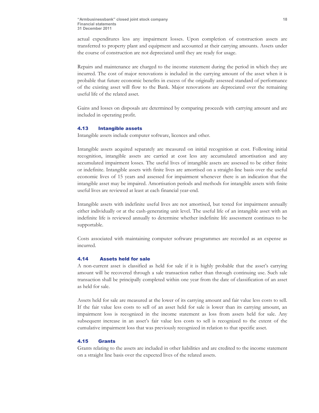actual expenditures less any impairment losses. Upon completion of construction assets are transferred to property plant and equipment and accounted at their carrying amounts. Assets under the course of construction are not depreciated until they are ready for usage.

Repairs and maintenance are charged to the income statement during the period in which they are incurred. The cost of major renovations is included in the carrying amount of the asset when it is probable that future economic benefits in excess of the originally assessed standard of performance of the existing asset will flow to the Bank. Major renovations are depreciated over the remaining useful life of the related asset.

Gains and losses on disposals are determined by comparing proceeds with carrying amount and are included in operating profit.

## 4.13 Intangible assets

Intangible assets include computer software, licences and other.

Intangible assets acquired separately are measured on initial recognition at cost. Following initial recognition, intangible assets are carried at cost less any accumulated amortisation and any accumulated impairment losses. The useful lives of intangible assets are assessed to be either finite or indefinite. Intangible assets with finite lives are amortised on a straight-line basis over the useful economic lives of 15 years and assessed for impairment whenever there is an indication that the intangible asset may be impaired. Amortisation periods and methods for intangible assets with finite useful lives are reviewed at least at each financial year-end.

Intangible assets with indefinite useful lives are not amortised, but tested for impairment annually either individually or at the cash-generating unit level. The useful life of an intangible asset with an indefinite life is reviewed annually to determine whether indefinite life assessment continues to be supportable.

Costs associated with maintaining computer software programmes are recorded as an expense as incurred.

## 4.14 Assets held for sale

A non-current asset is classified as held for sale if it is highly probable that the asset's carrying amount will be recovered through a sale transaction rather than through continuing use. Such sale transaction shall be principally completed within one year from the date of classification of an asset as held for sale.

Assets held for sale are measured at the lower of its carrying amount and fair value less costs to sell. If the fair value less costs to sell of an asset held for sale is lower than its carrying amount, an impairment loss is recognized in the income statement as loss from assets held for sale. Any subsequent increase in an asset's fair value less costs to sell is recognized to the extent of the cumulative impairment loss that was previously recognized in relation to that specific asset.

## 4.15 Grants

Grants relating to the assets are included in other liabilities and are credited to the income statement on a straight line basis over the expected lives of the related assets.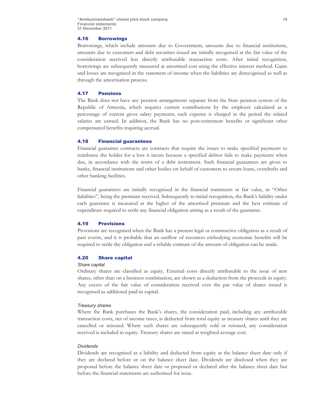**"Armbusinessbank" closed joint stock company 19 Financial statements 31 December 2011**

#### 4.16 Borrowings

Borrowings, which include amounts due to Government, amounts due to financial institutions, amounts due to customers and debt securities issued are initially recognised at the fair value of the consideration received less directly attributable transaction costs. After initial recognition, borrowings are subsequently measured at amortised cost using the effective interest method. Gains and losses are recognised in the statement of income when the liabilities are derecognised as well as through the amortisation process.

## 4.17 Pensions

The Bank does not have any pension arrangements separate from the State pension system of the Republic of Armenia, which requires current contributions by the employer calculated as a percentage of current gross salary payments; such expense is charged in the period the related salaries are earned. In addition, the Bank has no post-retirement benefits or significant other compensated benefits requiring accrual.

## 4.18 Financial guarantees

Financial guarantee contracts are contracts that require the issuer to make specified payments to reimburse the holder for a loss it incurs because a specified debtor fails to make payments when due, in accordance with the terms of a debt instrument. Such financial guarantees are given to banks, financial institutions and other bodies on behalf of customers to secure loans, overdrafts and other banking facilities.

Financial guarantees are initially recognized in the financial statements at fair value, in "Other liabilities", being the premium received. Subsequently to initial recognition, the Bank's liability under each guarantee is measured at the higher of the amortised premium and the best estimate of expenditure required to settle any financial obligation arising as a result of the guarantee.

## 4.19 Provisions

Provisions are recognised when the Bank has a present legal or constructive obligation as a result of past events, and it is probable that an outflow of resources embodying economic benefits will be required to settle the obligation and a reliable estimate of the amount of obligation can be made.

## 4.20 Share capital

#### *Share capital*

Ordinary shares are classified as equity. External costs directly attributable to the issue of new shares, other than on a business combination, are shown as a deduction from the proceeds in equity. Any excess of the fair value of consideration received over the par value of shares issued is recognised as additional paid-in capital.

## *Treasury shares*

Where the Bank purchases the Bank's shares, the consideration paid, including any attributable transaction costs, net of income taxes, is deducted from total equity as treasury shares until they are cancelled or reissued. Where such shares are subsequently sold or reissued, any consideration received is included in equity. Treasury shares are stated at weighted average cost.

## *Dividends*

Dividends are recognised as a liability and deducted from equity at the balance sheet date only if they are declared before or on the balance sheet date. Dividends are disclosed when they are proposed before the balance sheet date or proposed or declared after the balance sheet date but before the financial statements are authorised for issue.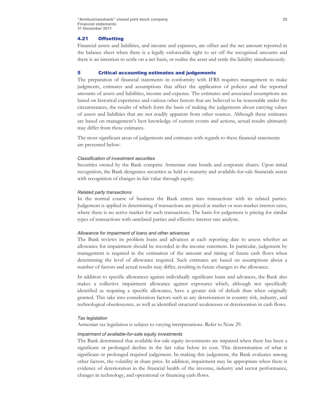**"Armbusinessbank" closed joint stock company 20 Financial statements 31 December 2011**

#### 4.21 Offsetting

Financial assets and liabilities, and income and expenses, are offset and the net amount reported in the balance sheet when there is a legally enforceable right to set off the recognised amounts and there is an intention to settle on a net basis, or realise the asset and settle the liability simultaneously.

#### 5 Critical accounting estimates and judgements

The preparation of financial statements in conformity with IFRS requires management to make judgments, estimates and assumptions that affect the application of policies and the reported amounts of assets and liabilities, income and expense. The estimates and associated assumptions are based on historical experience and various other factors that are believed to be reasonable under the circumstances, the results of which form the basis of making the judgements about carrying values of assets and liabilities that are not readily apparent from other sources. Although these estimates are based on management's best knowledge of current events and actions, actual results ultimately may differ from these estimates.

The most significant areas of judgements and estimates with regards to these financial statements are presented below:

#### *Classification of investment securities*

Securities owned by the Bank comprise Armenian state bonds and corporate shares. Upon initial recognition, the Bank designates securities as held to maturity and available-for-sale financials assets with recognition of changes in fair value through equity.

#### *Related party transactions*

In the normal course of business the Bank enters into transactions with its related parties. Judgement is applied in determining if transactions are priced at market or non-market interest rates, where there is no active market for such transactions. The basis for judgement is pricing for similar types of transactions with unrelated parties and effective interest rate analysis.

#### *Allowance for impairment of loans and other advances*

The Bank reviews its problem loans and advances at each reporting date to assess whether an allowance for impairment should be recorded in the income statement. In particular, judgement by management is required in the estimation of the amount and timing of future cash flows when determining the level of allowance required. Such estimates are based on assumptions about a number of factors and actual results may differ, resulting in future changes to the allowance.

In addition to specific allowances against individually significant loans and advances, the Bank also makes a collective impairment allowance against exposures which, although not specifically identified as requiring a specific allowance, have a greater risk of default than when originally granted. This take into consideration factors such as any deterioration in country risk, industry, and technological obsolescence, as well as identified structural weaknesses or deterioration in cash flows.

#### *Tax legislation*

Armenian tax legislation is subject to varying interpretations. Refer to Note 29.

#### *Impairment of available-for-sale equity investments*

The Bank determined that available-for-sale equity investments are impaired when there has been a significant or prolonged decline in the fair value below its cost. This determination of what is significant or prolonged required judgement. In making this judgement, the Bank evaluates among other factors, the volatility in share price. In addition, impairment may be appropriate when there is evidence of deterioration in the financial health of the investee, industry and sector performance, changes in technology, and operational or financing cash flows.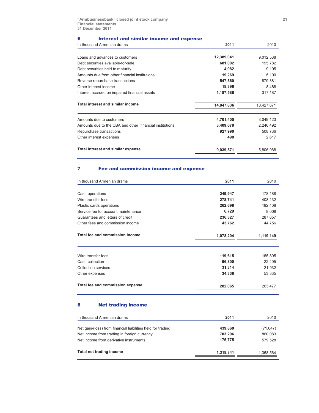## 6 Interest and similar income and expense

|            | 2010               |
|------------|--------------------|
|            |                    |
|            | 9,012,538          |
| 681,002    | 195,782            |
| 4,982      | 9,195              |
| 19,269     | 5,100              |
| 547,560    | 879,381            |
| 18,396     | 8,488              |
| 1,187,586  | 317,187            |
| 14,847,836 | 10,427,671         |
| 4,701,405  | 3,049,123          |
| 3,409,678  | 2,246,492          |
| 927,990    | 508,736            |
| 498        | 2,617              |
| 9,039,571  | 5,806,968          |
|            | 2011<br>12,389,041 |

## 7 Fee and commission income and expense

| In thousand Armenian drams          | 2011      | 2010      |
|-------------------------------------|-----------|-----------|
|                                     |           |           |
| Cash operations                     | 249,947   | 178,188   |
| Wire transfer fees                  | 278,741   | 408,132   |
| Plastic cards operations            | 262,698   | 192,408   |
| Service fee for account maintenance | 6,729     | 8,008     |
| Guarantees and letters of credit    | 236,327   | 287,657   |
| Other fees and commission income    | 43,762    | 44,756    |
| Total fee and commission income     | 1,078,204 | 1,119,149 |
| Wire transfer fees                  | 119,615   | 165,805   |
| Cash collection                     | 96,800    | 22,405    |
| <b>Collection services</b>          | 31,314    | 21,932    |
| Other expenses                      | 34,336    | 53,335    |
| Total fee and commission expense    | 282,065   | 263,477   |

## 8 Net trading income

| In thousand Armenian drams                                  | 2011      | 2010      |
|-------------------------------------------------------------|-----------|-----------|
| Net gain/(loss) from financial liabilities held for trading | 439,860   | (71, 047) |
| Net income from trading in foreign currency                 | 703,206   | 860,083   |
| Net income from derivative instruments                      | 175.775   | 579.528   |
| Total net trading income                                    | 1,318,841 | 1,368,564 |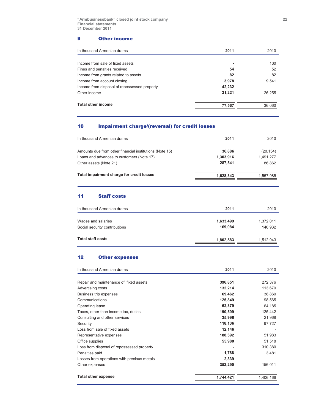## 9 Other income

| In thousand Armenian drams                   | 2011   | 2010   |
|----------------------------------------------|--------|--------|
|                                              |        |        |
| Income from sale of fixed assets             |        | 130    |
| Fines and penalties received                 | 54     | 52     |
| Income from grants related to assets         | 82     | 82     |
| Income from account closing                  | 3,978  | 9,541  |
| Income from disposal of repossessed property | 42,232 |        |
| Other income                                 | 31,221 | 26,255 |
| <b>Total other income</b>                    | 77,567 | 36,060 |

## 10 Impairment charge/(reversal) for credit losses

| In thousand Armenian drams                              | 2011      | 2010      |
|---------------------------------------------------------|-----------|-----------|
| Amounts due from other financial institutions (Note 15) | 36,886    | (20, 154) |
| Loans and advances to customers (Note 17)               | 1,303,916 | 1,491,277 |
| Other assets (Note 21)                                  | 287.541   | 86,862    |
| Total impairment charge for credit losses               | 1,628,343 | 1,557,985 |

## 11 Staff costs

| In thousand Armenian drams                          | 2011                 | 2010                 |
|-----------------------------------------------------|----------------------|----------------------|
|                                                     |                      |                      |
| Wages and salaries<br>Social security contributions | 1,633,499<br>169.084 | 1,372,011<br>140,932 |
| <b>Total staff costs</b>                            |                      |                      |
|                                                     | 1,802,583            | 1,512,943            |

## 12 Other expenses

| In thousand Armenian drams                  | 2011      | 2010      |
|---------------------------------------------|-----------|-----------|
|                                             |           |           |
| Repair and maintenance of fixed assets      | 396,851   | 272,376   |
| Advertising costs                           | 132,214   | 113,670   |
| Business trip expenses                      | 69,462    | 38,860    |
| Communications                              | 125,849   | 98,565    |
| Operating lease                             | 62,379    | 64,185    |
| Taxes, other than income tax, duties        | 190,599   | 125,442   |
| Consulting and other services               | 35,996    | 21,968    |
| Security                                    | 118,136   | 97,727    |
| Loss from sale of fixed assets              | 12,146    |           |
| Representative expenses                     | 188,392   | 51,983    |
| Office supplies                             | 55,980    | 51,518    |
| Loss from disposal of repossessed property  |           | 310,380   |
| Penalties paid                              | 1,788     | 3,481     |
| Losses from operations with precious metals | 2,339     |           |
| Other expenses                              | 352,290   | 156,011   |
| <b>Total other expense</b>                  | 1,744,421 | 1,406,166 |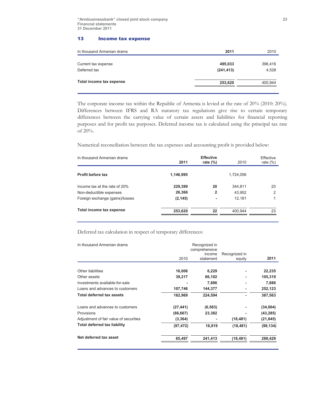## 13 Income tax expense

| 495,033 | 396,416    |
|---------|------------|
|         | 4,528      |
| 253,620 | 400,944    |
|         | (241, 413) |

The corporate income tax within the Republic of Armenia is levied at the rate of 20% (2010: 20%). Differences between IFRS and RA statutory tax regulations give rise to certain temporary differences between the carrying value of certain assets and liabilities for financial reporting purposes and for profit tax purposes. Deferred income tax is calculated using the principal tax rate of 20%.

Numerical reconciliation between the tax expenses and accounting profit is provided below:

| In thousand Armenian drams      | 2011      | <b>Effective</b><br>rate $(\%)$ | 2010      | Effective<br>rate $(\%)$ |
|---------------------------------|-----------|---------------------------------|-----------|--------------------------|
| Profit before tax               | 1,146,995 |                                 | 1,724,056 |                          |
| Income tax at the rate of 20%   | 229,399   | 20                              | 344,811   | 20                       |
| Non-deductible expenses         | 26,366    | $\mathbf{2}$                    | 43,952    | 2                        |
| Foreign exchange (gains)/losses | (2, 145)  |                                 | 12.181    |                          |
| Total income tax expense        | 253,620   | 22                              | 400,944   | 23                       |
|                                 |           |                                 |           |                          |

Deferred tax calculation in respect of temporary differences:

| In thousand Armenian drams             | Recognized in<br>comprehensive |                     |                         |           |
|----------------------------------------|--------------------------------|---------------------|-------------------------|-----------|
|                                        | 2010                           | income<br>statement | Recognized in<br>equity | 2011      |
|                                        |                                |                     |                         |           |
| <b>Other liabilities</b>               | 16,006                         | 6,229               |                         | 22,235    |
| Other assets                           | 39,217                         | 66,102              |                         | 105,319   |
| Investments available-for-sale         |                                | 7,886               |                         | 7,886     |
| Loans and advances to customers        | 107,746                        | 144,377             |                         | 252,123   |
| Total deferred tax assets              | 162,969                        | 224.594             |                         | 387,563   |
| Loans and advances to customers        | (27, 441)                      | (6, 563)            |                         | (34,004)  |
| Provisions                             | (66, 667)                      | 23,382              |                         | (43, 285) |
| Adjustment of fair value of securities | (3, 364)                       |                     | (18, 481)               | (21, 845) |
| <b>Total deferred tax liability</b>    | (97, 472)                      | 16,819              | (18, 481)               | (99, 134) |
| Net deferred tax asset                 | 65,497                         | 241,413             | (18, 481)               | 288,429   |
|                                        |                                |                     |                         |           |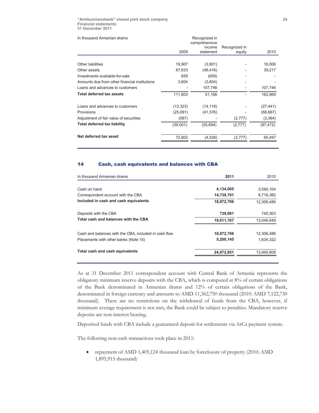#### **"Armbusinessbank" closed joint stock company 24 Financial statements**

**31 December 2011**

| In thousand Armenian drams                    | Recognized in<br>comprehensive |           |               |           |
|-----------------------------------------------|--------------------------------|-----------|---------------|-----------|
|                                               |                                | income    | Recognized in |           |
|                                               | 2009                           | statement | equity        | 2010      |
|                                               |                                |           |               |           |
| Other liabilities                             | 19,907                         | (3,901)   |               | 16,006    |
| Other assets                                  | 87,633                         | (48, 416) |               | 39,217    |
| Investments available-for-sale                | 659                            | (659)     |               |           |
| Amounts due from other financial institutions | 3,604                          | (3,604)   |               |           |
| Loans and advances to customers               |                                | 107,746   |               | 107,746   |
| Total deferred tax assets                     | 111,803                        | 51,166    |               | 162,969   |
| Loans and advances to customers               | (13, 323)                      | (14, 118) |               | (27, 441) |
| Provisions                                    | (25,091)                       | (41, 576) |               | (66, 667) |
| Adjustment of fair value of securities        | (587)                          |           | (2,777)       | (3, 364)  |
| <b>Total deferred tax liability</b>           | (39,001)                       | (55, 694) | (2,777)       | (97, 472) |
| Net deferred tax asset                        | 72,802                         | (4,528)   | (2,777)       | 65,497    |
|                                               |                                |           |               |           |

## 14 Cash, cash equivalents and balances with CBA

| In thousand Armenian drams                            | 2011       | 2010       |
|-------------------------------------------------------|------------|------------|
| Cash on hand                                          | 4,134,005  | 3,590,104  |
| Correspondent account with the CBA                    | 14,738,701 | 8,716,382  |
| Included in cash and cash equivalents                 | 18,872,706 | 12,306,486 |
| Deposits with the CBA                                 | 739,061    | 740,363    |
| Total cash and balances with the CBA                  | 19,611,767 | 13.046.849 |
| Cash and balances with the CBA, included in cash flow | 18,872,706 | 12,306,486 |
| Placements with other banks (Note 15)                 | 5,200,145  | 1,634,322  |
| Total cash and cash equivalents                       | 24,072,851 | 13,940,808 |
|                                                       |            |            |

As at 31 December 2011 correspondent account with Central Bank of Armenia represents the obligatory minimum reserve deposits with the CBA, which is computed at 8% of certain obligations of the Bank denominated in Armenian drams and 12% of certain obligations of the Bank, denominated in foreign currency and amounts to AMD 11,362,750 thousand (2010: AMD 7,122,730 thousand). There are no restrictions on the withdrawal of funds from the CBA, however, if minimum average requirement is not met, the Bank could be subject to penalties. Mandatory reserve deposits are non-interest bearing.

Deposited funds with CBA include a guaranteed deposit for settlements via ArCa payment system.

The following non-cash transactions took place in 2011:

x repayment of AMD 1,405,124 thousand loan by foreclosure of property (2010: AMD 1,895,915 thousand)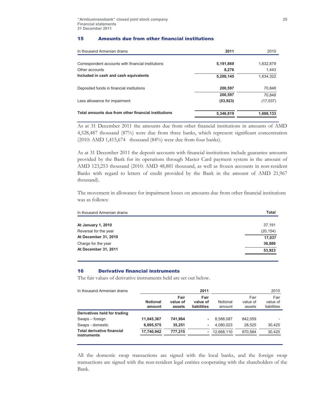## 15 Amounts due from other financial institutions

| In thousand Armenian drams                          | 2011      | 2010      |
|-----------------------------------------------------|-----------|-----------|
| Correspondent accounts with financial institutions  | 5,191,869 | 1,632,879 |
| Other accounts                                      | 8,276     | 1,443     |
| Included in cash and cash equivalents               | 5,200,145 | 1,634,322 |
| Deposited funds in financial institutions           | 200,597   | 70,848    |
|                                                     | 200,597   | 70,848    |
| Less allowance for impairment                       | (53, 923) | (17, 037) |
| Total amounts due from other financial institutions | 5,346,819 | 1,688,133 |

As at 31 December 2011 the amounts due from other financial institutions in amounts of AMD 4,528,487 thousand (87%) were due from three banks, which represent significant concentration (2010: AMD 1,415,674 thousand (84%) were due from four banks).

As at 31 December 2011 the deposit accounts with financial institutions include guarantee amounts provided by the Bank for its operations through Master Card payment system in the amount of AMD 123,253 thousand (2010: AMD 48,881 thousand, as well as frozen accounts in non-resident Banks with regard to letters of credit provided by the Bank in the amount of AMD 21,967 thousand).

The movement in allowance for impairment losses on amounts due from other financial institutions was as follows:

| In thousand Armenian drams | Total     |
|----------------------------|-----------|
|                            |           |
| <b>At January 1, 2010</b>  | 37.191    |
| Reversal for the year      | (20, 154) |
| At December 31, 2010       | 17.037    |
| Charge for the year        | 36,886    |
| At December 31, 2011       | 53,923    |

## 16 Derivative financial instruments

The fair values of derivative instruments held are set out below.

| In thousand Armenian drams                       |                           |                            | 2011                            |                    |                            | 2010                            |
|--------------------------------------------------|---------------------------|----------------------------|---------------------------------|--------------------|----------------------------|---------------------------------|
|                                                  | <b>Notional</b><br>amount | Fair<br>value of<br>assets | Fair<br>value of<br>liabilities | Notional<br>amount | Fair<br>value of<br>assets | Fair<br>value of<br>liabilities |
| Derivatives held for trading                     |                           |                            |                                 |                    |                            |                                 |
| Swaps - foreign                                  | 11,045,367                | 741.964                    | ٠                               | 8,588,087          | 842.059                    |                                 |
| Swaps - domestic                                 | 6,695,575                 | 35,251                     | ٠                               | 4.080.023          | 28.525                     | 30,425                          |
| <b>Total derivative financial</b><br>instruments | 17,740,942                | 777.215                    | $\sim$                          | 12.668.110         | 870.584                    | 30,425                          |

All the domestic swap transactions are signed with the local banks, and the foreign swap transactions are signed with the non-resident legal entities cooperating with the shareholders of the Bank.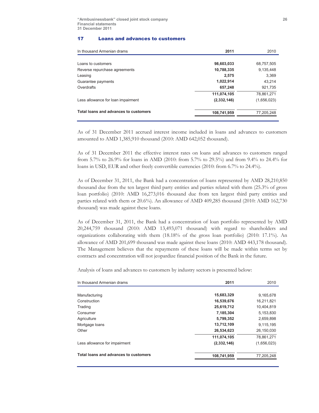## 17 Loans and advances to customers

| In thousand Armenian drams            | 2011          | 2010        |
|---------------------------------------|---------------|-------------|
| Loans to customers                    | 98,603,033    | 68,757,505  |
| Reverse repurchase agreements         | 10,788,335    | 9,135,448   |
| Leasing                               | 2,575         | 3,369       |
| Guarantee payments                    | 1,022,914     | 43.214      |
| Overdrafts                            | 657,248       | 921,735     |
|                                       | 111,074,105   | 78.861.271  |
| Less allowance for loan impairment    | (2, 332, 146) | (1,656,023) |
| Total loans and advances to customers | 108,741,959   | 77,205,248  |
|                                       |               |             |

As of 31 December 2011 accrued interest income included in loans and advances to customers amounted to AMD 1,385,910 thousand (2010: AMD 642,052 thousand).

As of 31 December 2011 the effective interest rates on loans and advances to customers ranged from 5.7% to 26.9% for loans in AMD (2010: from 5.7% to 29.5%) and from 9.4% to 24.4% for loans in USD, EUR and other freely convertible currencies (2010: from 6.7% to 24.4%).

As of December 31, 2011, the Bank had a concentration of loans represented by AMD 28,210,850 thousand due from the ten largest third party entities and parties related with them (25.3% of gross loan portfolio) (2010: AMD 16,273,016 thousand due from ten largest third party entities and parties related with them or 20.6%). An allowance of AMD 409,285 thousand (2010: AMD 162,730 thousand) was made against these loans.

As of December 31, 2011, the Bank had a concentration of loan portfolio represented by AMD 20,244,759 thousand (2010: AMD 13,493,071 thousand) with regard to shareholders and organizations collaborating with them (18.18% of the gross loan portfolio) (2010: 17.1%). An allowance of AMD 201,699 thousand was made against these loans (2010: AMD 443,178 thousand). The Management believes that the repayments of these loans will be made within terms set by contracts and concentration will not jeopardize financial position of the Bank in the future.

Analysis of loans and advances to customers by industry sectors is presented below:

| 2011        | 2010        |
|-------------|-------------|
|             |             |
| 15,683,329  | 9,165,678   |
| 16,539,676  | 16,211,821  |
| 25,619,712  | 10,404,819  |
| 7,185,304   | 5,153,830   |
| 5,799,352   | 2,659,898   |
| 13,712,109  | 9,115,195   |
| 26,534,623  | 26,150,030  |
| 111,074,105 | 78,861,271  |
| (2,332,146) | (1,656,023) |
| 108,741,959 | 77,205,248  |
|             |             |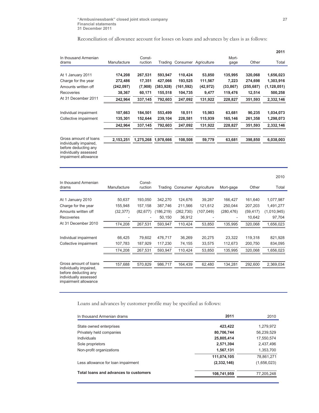## Reconciliation of allowance account for losses on loans and advances by class is as follows:

|                                                                         |             |                   |           |           |                              |               |            | 2011        |
|-------------------------------------------------------------------------|-------------|-------------------|-----------|-----------|------------------------------|---------------|------------|-------------|
| In thousand Armenian<br>drams                                           | Manufacture | Const-<br>ruction |           |           | Trading Consumer Agriculture | Mort-<br>gage | Other      | Total       |
| At 1 January 2011                                                       | 174,208     | 267,531           | 593,947   | 110,424   | 53,850                       | 135,995       | 320,068    | 1,656,023   |
| Charge for the year                                                     | 272,486     | 17,351            | 427,066   | 193,525   | 111,567                      | 7,223         | 274,698    | 1,303,916   |
| Amounts written off                                                     | (242, 097)  | (7,908)           | (383,928) | (161,592) | (42, 972)                    | (33, 867)     | (255, 687) | (1,128,051) |
| Recoveries                                                              | 38,367      | 60,171            | 155,518   | 104,735   | 9,477                        | 119,476       | 12,514     | 500,258     |
| At 31 December 2011                                                     | 242,964     | 337,145           | 792,603   | 247,092   | 131,922                      | 228,827       | 351,593    | 2,332,146   |
| Individual impairment                                                   | 107,663     | 184,501           | 553,499   | 18,511    | 15,983                       | 63,681        | 90,235     | 1,034,073   |
| Collective impairment                                                   | 135,301     | 152,644           | 239,104   | 228,581   | 115,939                      | 165,146       | 261,358    | 1,298,073   |
|                                                                         | 242,964     | 337,145           | 792,603   | 247,092   | 131,922                      | 228,827       | 351,593    | 2,332,146   |
| Gross amount of loans<br>individually impaired.<br>before deducting any | 2,153,251   | 1,275,268         | 1,978,666 | 108,508   | 59,779                       | 63,681        | 398,850    | 6,038,003   |
| individually assessed                                                   |             |                   |           |           |                              |               |            |             |

impairment allowance

|                                                                       |             |                   |         |            |             |           |           | 2010        |
|-----------------------------------------------------------------------|-------------|-------------------|---------|------------|-------------|-----------|-----------|-------------|
| In thousand Armenian<br>drams                                         | Manufacture | Const-<br>ruction | Trading | Consumer   | Agriculture | Mort-gage | Other     | Total       |
|                                                                       |             |                   |         |            |             |           |           |             |
| At 1 January 2010                                                     | 50,637      | 193,050           | 342,270 | 124,676    | 39,287      | 166,427   | 161,640   | 1,077,987   |
| Charge for the year                                                   | 155,948     | 157,158           | 387,746 | 211,566    | 121,612     | 250,044   | 207,203   | 1,491,277   |
| Amounts written off                                                   | (32, 377)   | (82, 677)         | 186,219 | (262, 730) | (107, 049)  | (280,476) | (59, 417) | (1,010,945) |
| Recoveries                                                            |             |                   | 50,150  | 36,912     |             |           | 10,642    | 97,704      |
| At 31 December 2010                                                   | 174,208     | 267,531           | 593,947 | 110,424    | 53,850      | 135,995   | 320,068   | 1,656,023   |
|                                                                       |             |                   |         |            |             |           |           |             |
| Individual impairment                                                 | 66,425      | 79.602            | 476,717 | 36,269     | 20,275      | 23,322    | 119,318   | 821,928     |
| Collective impairment                                                 | 107,783     | 187,929           | 117,230 | 74,155     | 33,575      | 112,673   | 200,750   | 834,095     |
|                                                                       | 174,208     | 267,531           | 593,947 | 110,424    | 53,850      | 135,995   | 320,068   | 1,656,023   |
|                                                                       |             |                   |         |            |             |           |           |             |
| Gross amount of loans<br>individually impaired,                       | 157,688     | 570,829           | 986,717 | 164,439    | 62,480      | 134,281   | 292,600   | 2,369,034   |
| before deducting any<br>individually assessed<br>impairment allowance |             |                   |         |            |             |           |           |             |

Loans and advances by customer profile may be specified as follows:

| In thousand Armenian drams            | 2011        | 2010        |
|---------------------------------------|-------------|-------------|
| State owned enterprises               | 423.422     | 1,279,972   |
| Privately held companies              | 80.706.744  | 56.239.529  |
| Individuals                           | 25,805,414  | 17,550,574  |
| Sole proprietors                      | 2,571,394   | 2,437,496   |
| Non-profit organizations              | 1,567,131   | 1,353,700   |
|                                       | 111,074,105 | 78,861,271  |
| Less allowance for loan impairment    | (2,332,146) | (1,656,023) |
| Total loans and advances to customers | 108,741,959 | 77,205,248  |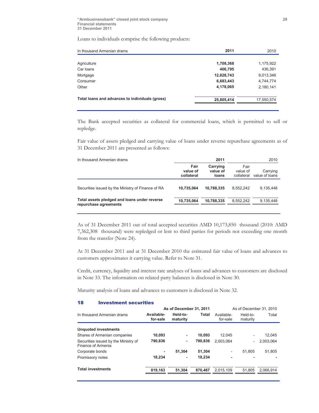Loans to individuals comprise the following products:

| In thousand Armenian drams                      | 2011       | 2010       |
|-------------------------------------------------|------------|------------|
|                                                 |            |            |
| Agriculture                                     | 1,708,368  | 1,175,922  |
| Car loans                                       | 406,795    | 436,391    |
| Mortgage                                        | 12,828,743 | 9,013,346  |
| Consumer                                        | 6,683,443  | 4,744,774  |
| Other                                           | 4,178,065  | 2,180,141  |
| Total loans and advances to individuals (gross) | 25,805,414 | 17,550,574 |
|                                                 |            |            |

The Bank accepted securities as collateral for commercial loans, which is permitted to sell or repledge.

Fair value of assets pledged and carrying value of loans under reverse repurchase agreements as of 31 December 2011 are presented as follows:

| In thousand Armenian drams                                            |                                | 2011                          | 2010                           |                            |  |
|-----------------------------------------------------------------------|--------------------------------|-------------------------------|--------------------------------|----------------------------|--|
|                                                                       | Fair<br>value of<br>collateral | Carrying<br>value of<br>loans | Fair<br>value of<br>collateral | Carrying<br>value of loans |  |
| Securities issued by the Ministry of Finance of RA                    | 10.735.064                     | 10.788.335                    | 8.552.242                      | 9.135.448                  |  |
| Total assets pledged and loans under reverse<br>repurchase agreements | 10,735,064                     | 10.788.335                    | 8.552.242                      | 9,135,448                  |  |

As of 31 December 2011 out of total accepted securities AMD 10,173,850 thousand (2010: AMD 7,362,308 thousand) were repledged or lent to third parties for periods not exceeding one month from the transfer (Note 24).

At 31 December 2011 and at 31 December 2010 the estimated fair value of loans and advances to customers approximates it carrying value. Refer to Note 31.

Credit, currency, liquidity and interest rate analyses of loans and advances to customers are disclosed in Note 33. The information on related party balances is disclosed in Note 30.

Maturity analysis of loans and advances to customers is disclosed in Note 32.

#### 18 Investment securities

|                                                            |                        | As of December 31, 2011<br>As of December 31, 2010 |         |                        |                      |           |
|------------------------------------------------------------|------------------------|----------------------------------------------------|---------|------------------------|----------------------|-----------|
| In thousand Armenian drams                                 | Available-<br>for-sale | Held-to-<br>maturity                               | Total   | Available-<br>for-sale | Held-to-<br>maturity | Total     |
| <b>Unquoted investments</b>                                |                        |                                                    |         |                        |                      |           |
| Shares of Armenian companies                               | 10,093                 | -                                                  | 10.093  | 12,045                 | ۰                    | 12.045    |
| Securities issued by the Ministry of<br>Finance of Armenia | 790,836                | $\overline{\phantom{a}}$                           | 790.836 | 2.003.064              | ۰                    | 2.003.064 |
| Corporate bonds                                            | -                      | 51,304                                             | 51.304  |                        | 51.805               | 51,805    |
| Promissory notes                                           | 18,234                 | ٠                                                  | 18,234  |                        |                      |           |
| <b>Total investments</b>                                   | 819,163                | 51.304                                             | 870.467 | 2.015.109              | 51.805               | 2.066.914 |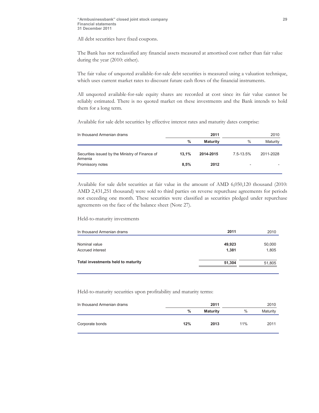All debt securities have fixed coupons.

The Bank has not reclassified any financial assets measured at amortised cost rather than fair value during the year (2010: either).

The fair value of unquoted available-for-sale debt securities is measured using a valuation technique, which uses current market rates to discount future cash flows of the financial instruments.

All unquoted available-for-sale equity shares are recorded at cost since its fair value cannot be reliably estimated. There is no quoted market on these investments and the Bank intends to hold them for a long term.

Available for sale debt securities by effective interest rates and maturity dates comprise:

| In thousand Armenian drams<br>2011                         |       |                 | 2010      |           |  |
|------------------------------------------------------------|-------|-----------------|-----------|-----------|--|
|                                                            | $\%$  | <b>Maturity</b> | $\%$      | Maturity  |  |
| Securities issued by the Ministry of Finance of<br>Armenia | 13.1% | 2014-2015       | 7.5-13.5% | 2011-2028 |  |
| Promissory notes                                           | 8,5%  | 2012            | -         |           |  |
|                                                            |       |                 |           |           |  |

Available for sale debt securities at fair value in the amount of AMD 6,050,120 thousand (2010: AMD 2,431,251 thousand) were sold to third parties on reverse repurchase agreements for periods not exceeding one month. These securities were classified as securities pledged under repurchase agreements on the face of the balance sheet (Note 27).

#### Held-to-maturity investments

| In thousand Armenian drams         | 2011   | 2010   |
|------------------------------------|--------|--------|
|                                    |        |        |
| Nominal value                      | 49,923 | 50,000 |
| Accrued interest                   | 1.381  | 1,805  |
| Total investments held to maturity | 51,304 | 51,805 |
|                                    |        |        |

Held-to-maturity securities upon profitability and maturity terms:

| In thousand Armenian drams |     | 2011            | 2010 |          |
|----------------------------|-----|-----------------|------|----------|
|                            | %   | <b>Maturity</b> | %    | Maturity |
| Corporate bonds            | 12% | 2013            | 11%  | 2011     |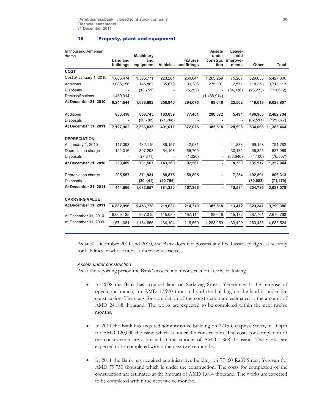## 19 Property, plant and equipment

| In thousand Armenian<br>drams | <b>Land and</b> | <b>Machinery</b><br>and |           | <b>Fixtures</b>       | <b>Assets</b><br>under<br>construc | Lease-<br>hold<br>improve- |           |            |
|-------------------------------|-----------------|-------------------------|-----------|-----------------------|------------------------------------|----------------------------|-----------|------------|
|                               | buildings       | equipment               |           | Vehicles and fittings | tion                               | ments                      | Other     | Total      |
| <b>COST</b>                   |                 |                         |           |                       |                                    |                            |           |            |
| Cost at January 1, 2010       | 1.688.474       | 1,566,771               | 223.261   | 260,641               | 1,283,259                          | 75.267                     | 329,633   | 5,427,306  |
| Additions                     | 3,086,156       | 145,862                 | 35,679    | 39,286                | 275,301                            | 12,571                     | 118,258   | 3,713,113  |
| <b>Disposals</b>              |                 | (13, 751)               |           | (5,252)               |                                    | (64, 336)                  | (28, 273) | (111, 612) |
| Reclassifications             | 1,469,914       |                         |           |                       | (1,469,914)                        |                            |           |            |
| At December 31, 2010          | 6.244.544       | 1.698.882               | 258.940   | 294,675               | 88.646                             | 23,502                     | 419,618   | 9,028,807  |
| Additions                     | 883,418         | 858,745                 | 163,839   | 77,401                | 296,872                            | 5,494                      | 196,965   | 2,482,734  |
| <b>Disposals</b>              |                 | (20, 792)               | (21, 768) |                       |                                    |                            | (82, 517) | (125, 077) |
| At December 31, 2011          | 7,127,962       | 2,536,835               | 401.011   | 372,076               | 385,518                            | 28,996                     | 534.066   | 11,386,464 |
| <b>DEPRECIATION</b>           |                 |                         |           |                       |                                    |                            |           |            |
| At January 1, 2010            | 117,393         | 432,115                 | 89,157    | 42,081                |                                    | 41,838                     | 69,198    | 791,782    |
| Depreciation charge           | 122,016         | 307,293                 | 54,103    | 56,700                |                                    | 30.132                     | 66.825    | 637,069    |
| <b>Disposals</b>              |                 | (7, 841)                |           | (1,220)               |                                    | (63, 640)                  | (4, 106)  | (76, 807)  |
| At December 31, 2010          | 239,409         | 731,567                 | 143,260   | 97,561                |                                    | 8,330                      | 131,917   | 1,352,044  |
| Depreciation charge           | 205,557         | 371,931                 | 58,875    | 59,805                |                                    | 7,254                      | 102,891   | 806,313    |
| <b>Disposals</b>              |                 | (20, 441)               | (20, 755) |                       |                                    |                            | (30, 083) | (71, 279)  |
| At December 31, 2011          | 444,966         | 1,083,057               | 181,380   | 157,366               |                                    | 15,584                     | 204,725   | 2,087,078  |
| <b>CARRYING VALUE</b>         |                 |                         |           |                       |                                    |                            |           |            |
| At December 31, 2011          | 6,682,996       | 1,453,778               | 219,631   | 214,710               | 385,518                            | 13,412                     | 329,341   | 9,299,386  |
| At December 31, 2010          | 6,005,135       | 967,315                 | 115,680   | 197,114               | 88,646                             | 15,172                     | 287,701   | 7,676,763  |
| At December 31, 2009          | 1,571,081       | 1,134,656               | 134,104   | 218,560               | 1,283,259                          | 33,429                     | 260,435   | 4,635,524  |
|                               |                 |                         |           |                       |                                    |                            |           |            |

As at 31 December 2011 and 2010, the Bank does not possess any fixed assets pledged as security for liabilities or whose title is otherwise restricted.

#### *Assets under construction*

As at the reporting period the Bank's assets under construction are the following.

- In 2008 the Bank has acquired land on Sarkavag Street, Yerevan with the purpose of opening a branch, for AMD 17,920 thousand and the building on the land is under the construction. The costs for completion of the construction are estimated at the amount of AMD 24,188 thousand. The works are expected to be completed within the next twelve months.
- In 2011 the Bank has acquired administrative building on  $2/15$  Getapnya Street, in Dilijan for AMD 120,000 thousand which is under the construction. The costs for completion of the construction are estimated at the amount of AMD 1,868 thousand. The works are expected to be completed within the next twelve months.
- In 2011 the Bank has acquired administrative building on 77/60 Raffi Street, Yerevan for AMD 79,750 thousand which is under the construction. The costs for completion of the construction are estimated at the amount of AMD 1,014 thousand. The works are expected to be completed within the next twelve months.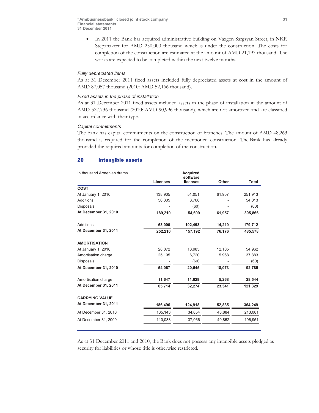**"Armbusinessbank" closed joint stock company 31 Financial statements 31 December 2011**

• In 2011 the Bank has acquired administrative building on Vazgen Sargsyan Street, in NKR Stepanakert for AMD 250,000 thousand which is under the construction. The costs for completion of the construction are estimated at the amount of AMD 21,193 thousand. The works are expected to be completed within the next twelve months.

#### *Fully depreciated items*

As at 31 December 2011 fixed assets included fully depreciated assets at cost in the amount of AMD 87,057 thousand (2010: AMD 52,166 thousand).

#### *Fixed assets in the phase of installation*

As at 31 December 2011 fixed assets included assets in the phase of installation in the amount of AMD 527,736 thousand (2010: AMD 90,996 thousand), which are not amortized and are classified in accordance with their type.

#### *Capital commitments*

The bank has capital commitments on the construction of branches. The amount of AMD 48,263 thousand is required for the completion of the mentioned construction. The Bank has already provided the required amounts for completion of the construction.

## 20 Intangible assets

|                 | <b>Acquired</b> |          |              |
|-----------------|-----------------|----------|--------------|
| <b>Licenses</b> | licenses        | Other    | <b>Total</b> |
|                 |                 |          |              |
| 138,905         | 51,051          | 61,957   | 251,913      |
| 50,305          | 3,708           |          | 54,013       |
|                 | (60)            |          | (60)         |
| 189,210         | 54,699          | 61,957   | 305,866      |
| 63,000          | 102,493         | 14,219   | 179,712      |
| 252,210         | 157,192         | 76,176   | 485,578      |
|                 |                 |          |              |
| 28,872          | 13,985          | 12,105   | 54,962       |
| 25,195          | 6,720           | 5,968    | 37,883       |
|                 | (60)            |          | (60)         |
| 54,067          | 20,645          | 18,073   | 92,785       |
| 11,647          | 11,629          | 5,268    | 28,544       |
| 65,714          | 32,274          | 23,341   | 121,329      |
|                 |                 |          |              |
| 186,496         | 124,918         | 52,835   | 364,249      |
| 135,143         | 34,054          | 43,884   | 213,081      |
| 110,033         | 37,066          | 49,852   | 196,951      |
|                 |                 | software |              |

As at 31 December 2011 and 2010, the Bank does not possess any intangible assets pledged as security for liabilities or whose title is otherwise restricted.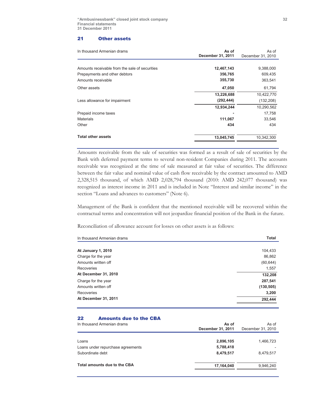## 21 Other assets

| In thousand Armenian drams                     | As of<br>December 31, 2011 | As of<br>December 31, 2010 |
|------------------------------------------------|----------------------------|----------------------------|
|                                                |                            |                            |
| Amounts receivable from the sale of securities | 12,467,143                 | 9,388,000                  |
| Prepayments and other debtors                  | 356,765                    | 609,435                    |
| Amounts receivable                             | 355,730                    | 363,541                    |
| Other assets                                   | 47,050                     | 61,794                     |
|                                                | 13,226,688                 | 10,422,770                 |
| Less allowance for impairment                  | (292, 444)                 | (132, 208)                 |
|                                                | 12,934,244                 | 10,290,562                 |
| Prepaid income taxes                           |                            | 17,758                     |
| <b>Materials</b>                               | 111,067                    | 33,546                     |
| Other                                          | 434                        | 434                        |
| <b>Total other assets</b>                      | 13,045,745                 | 10,342,300                 |

Amounts receivable from the sale of securities was formed as a result of sale of securities by the Bank with deferred payment terms to several non-resident Companies during 2011. The accounts receivable was recognized at the time of sale measured at fair value of securities. The difference between the fair value and nominal value of cash flow receivable by the contract amounted to AMD 2,328,515 thousand, of which AMD 2,028,794 thousand (2010: AMD 242,077 thousand) was recognized as interest income in 2011 and is included in Note "Interest and similar income" in the section "Loans and advances to customers" (Note 6).

Management of the Bank is confident that the mentioned receivable will be recovered within the contractual terms and concentration will not jeopardize financial position of the Bank in the future.

Reconciliation of allowance account for losses on other assets is as follows:

| <b>Total</b> |
|--------------|
|              |
| 104,433      |
| 86,862       |
| (60, 644)    |
| 1,557        |
| 132,208      |
| 287,541      |
| (130, 505)   |
| 3,200        |
| 292,444      |
|              |

## 22 Amounts due to the CBA

| In thousand Armenian drams        | As of<br>December 31, 2011 | As of<br>December 31, 2010 |
|-----------------------------------|----------------------------|----------------------------|
| Loans                             | 2,896,105                  | 1,466,723                  |
| Loans under repurchase agreements | 5,788,418                  |                            |
| Subordinate debt                  | 8,479,517                  | 8,479,517                  |
| Total amounts due to the CBA      | 17,164,040                 | 9,946,240                  |
|                                   |                            |                            |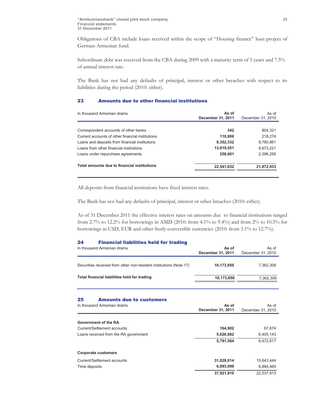Obligations of CBA include loans received within the scope of "Housing finance" loan project of German-Armenian fund.

Subordinate debt was received from the CBA during 2009 with a maturity term of 5 years and 7.5% of annual interest rate.

The Bank has not had any defaults of principal, interest or other breaches with respect to its liabilities during the period (2010: either).

## 23 Amounts due to other financial institutions

| In thousand Armenian drams                       | As of<br>December 31, 2011 | As of<br>December 31, 2010 |
|--------------------------------------------------|----------------------------|----------------------------|
|                                                  |                            |                            |
| Correspondent accounts of other banks            | 342                        | 804,321                    |
| Current accounts of other financial institutions | 110,806                    | 218,274                    |
| Loans and deposits from financial institutions   | 8,352,332                  | 8,780,861                  |
| Loans from other financial institutions          | 13,819,551                 | 9,673,221                  |
| Loans under repurchase agreements                | 258,601                    | 2,396,256                  |
| Total amounts due to financial institutions      | 22,541,632                 | 21,872,933                 |
|                                                  |                            |                            |

All deposits from financial institutions have fixed interest rates.

The Bank has not had any defaults of principal, interest or other breaches (2010: either).

As of 31 December 2011 the effective interest rates on amounts due to financial institutions ranged from 2.7% to 12.2% for borrowings in AMD (2010: from 4.1% to 9.4%) and from 2% to 10.5% for borrowings in USD, EUR and other freely convertible currencies (2010: from 3.1% to 12.7%).

## 24 Financial liabilities held for trading

| In thousand Armenian drams                                          | As of<br>December 31, 2011 | As of<br>December 31, 2010 |
|---------------------------------------------------------------------|----------------------------|----------------------------|
| Securities received from other non-resident institutions (Note 17)  | 10,173,850                 | 7,362,308                  |
| Total financial liabilities held for trading                        | 10,173,850                 | 7,362,308                  |
| 25<br><b>Amounts due to customers</b><br>In thousand Armenian drams | As of                      | As of                      |
|                                                                     | December 31, 2011          | December 31, 2010          |
| <b>Government of the RA</b>                                         |                            |                            |
| Current/Settlement accounts                                         | 164,902                    | 67,674                     |
| Loans received from the RA government                               | 5,626,682                  | 6,405,143                  |
|                                                                     | 5,791,584                  | 6,472,817                  |
| <b>Corporate customers</b>                                          |                            |                            |
| Current/Settlement accounts                                         | 31,028,814                 | 15,643,444                 |
| Time deposits                                                       | 6,893,096                  | 6,894,469                  |
|                                                                     | 37,921,910                 | 22,537,913                 |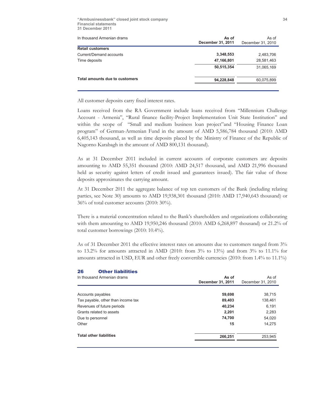**"Armbusinessbank" closed joint stock company 34 Financial statements 31 December 2011**

| In thousand Armenian drams     | As of<br>December 31, 2011 | As of<br>December 31, 2010 |
|--------------------------------|----------------------------|----------------------------|
| <b>Retail customers</b>        |                            |                            |
| Current/Demand accounts        | 3,348,553                  | 2,483,706                  |
| Time deposits                  | 47,166,801                 | 28,581,463                 |
|                                | 50,515,354                 | 31,065,169                 |
| Total amounts due to customers | 94,228,848                 | 60,075,899                 |
|                                |                            |                            |

All customer deposits carry fixed interest rates.

Loans received from the RA Government include loans received from "Millennium Challenge Account - Armenia ", "Rural finance facility-Project Implementation Unit State Institution" and within the scope of "Small and medium business loan project"and "Housing Finance Loan program" of German-Armenian Fund in the amount of AMD 5,586,784 thousand (2010: AMD 6,405,143 thousand, as well as time deposits placed by the Ministry of Finance of the Republic of Nagorno Karabagh in the amount of AMD 800,131 thousand).

As at 31 December 2011 included in current accounts of corporate customers are deposits amounting to AMD 55,351 thousand (2010: AMD 24,517 thousand, and AMD 21,996 thousand held as security against letters of credit issued and guarantees issued). The fair value of those deposits approximates the carrying amount.

At 31 December 2011 the aggregate balance of top ten customers of the Bank (including relating parties, see Note 30) amounts to AMD 19,938,301 thousand (2010: AMD 17,940,643 thousand) or 36% of total customer accounts (2010: 30%).

There is a material concentration related to the Bank's shareholders and organizations collaborating with them amounting to AMD 19,950,246 thousand (2010: AMD 6,268,897 thousand) or 21.2% of total customer borrowings (2010: 10.4%).

As of 31 December 2011 the effective interest rates on amounts due to customers ranged from 3% to 13.2% for amounts attracted in AMD (2010: from  $3\%$  to  $13\%$ ) and from  $3\%$  to  $11.1\%$  for amounts attracted in USD, EUR and other freely convertible currencies (2010: from 1.4% to 11.1%)

## 26 Other liabilities

| In thousand Armenian drams         | As of<br>December 31, 2011 | As of<br>December 31, 2010 |
|------------------------------------|----------------------------|----------------------------|
|                                    |                            |                            |
| Accounts payables                  | 59,698                     | 38,715                     |
| Tax payable, other than income tax | 89,403                     | 138,461                    |
| Revenues of future periods         | 40.234                     | 6.191                      |
| Grants related to assets           | 2.201                      | 2.283                      |
| Due to personnel                   | 74,700                     | 54,020                     |
| Other                              | 15                         | 14.275                     |
| <b>Total other liabilities</b>     | 266.251                    | 253.945                    |
|                                    |                            |                            |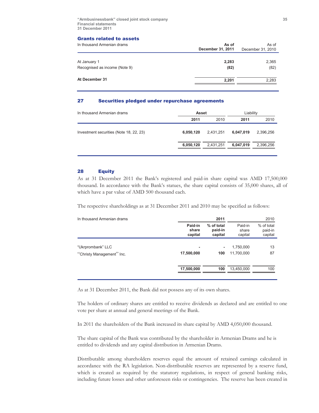#### Grants related to assets

| In thousand Armenian drams                    | As of<br>December 31, 2011 | As of<br>December 31, 2010 |
|-----------------------------------------------|----------------------------|----------------------------|
| At January 1<br>Recognised as income (Note 9) | 2,283<br>(82)              | 2,365<br>(82)              |
| At December 31                                | 2.201                      | 2,283                      |

## 27 Securities pledged under repurchase agreements

| In thousand Armenian drams              | Asset     |           | Liability |           |  |
|-----------------------------------------|-----------|-----------|-----------|-----------|--|
|                                         | 2011      | 2010      | 2011      | 2010      |  |
| Investment securities (Note 18, 22, 23) | 6,050,120 | 2.431.251 | 6,047,019 | 2.396.256 |  |
|                                         | 6,050,120 | 2,431,251 | 6,047,019 | 2,396,256 |  |
|                                         |           |           |           |           |  |

## 28 Equity

As at 31 December 2011 the Bank's registered and paid-in share capital was AMD 17,500,000 thousand. In accordance with the Bank's statues, the share capital consists of 35,000 shares, all of which have a par value of AMD 500 thousand each.

The respective shareholdings as at 31 December 2011 and 2010 may be specified as follows:

| In thousand Armenian drams |                             | 2011                             |                             | 2010                             |
|----------------------------|-----------------------------|----------------------------------|-----------------------------|----------------------------------|
|                            | Paid-in<br>share<br>capital | % of total<br>paid-in<br>capital | Paid-in<br>share<br>capital | % of total<br>paid-in<br>capital |
|                            |                             |                                  |                             |                                  |
| "Ukrprombank" LLC          |                             | $\overline{\phantom{a}}$         | 1,750,000                   | 13                               |
| "Christy Management" Inc.  | 17,500,000                  | 100                              | 11,700,000                  | 87                               |
|                            | 17,500,000                  | 100                              | 13,450,000                  | 100                              |
|                            |                             |                                  |                             |                                  |

As at 31 December 2011, the Bank did not possess any of its own shares.

The holders of ordinary shares are entitled to receive dividends as declared and are entitled to one vote per share at annual and general meetings of the Bank.

In 2011 the shareholders of the Bank increased its share capital by AMD 4,050,000 thousand.

The share capital of the Bank was contributed by the shareholder in Armenian Drams and he is entitled to dividends and any capital distribution in Armenian Drams.

Distributable among shareholders reserves equal the amount of retained earnings calculated in accordance with the RA legislation. Non-distributable reserves are represented by a reserve fund, which is created as required by the statutory regulations, in respect of general banking risks, including future losses and other unforeseen risks or contingencies. The reserve has been created in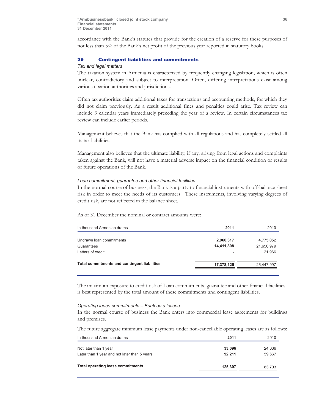accordance with the Bank's statutes that provide for the creation of a reserve for these purposes of not less than 5% of the Bank's net profit of the previous year reported in statutory books.

## 29 Contingent liabilities and commitments

## *Tax and legal matters*

The taxation system in Armenia is characterized by frequently changing legislation, which is often unclear, contradictory and subject to interpretation. Often, differing interpretations exist among various taxation authorities and jurisdictions.

Often tax authorities claim additional taxes for transactions and accounting methods, for which they did not claim previously. As a result additional fines and penalties could arise. Tax review can include 3 calendar years immediately preceding the year of a review. In certain circumstances tax review can include earlier periods.

Management believes that the Bank has complied with all regulations and has completely settled all its tax liabilities.

Management also believes that the ultimate liability, if any, arising from legal actions and complaints taken against the Bank, will not have a material adverse impact on the financial condition or results of future operations of the Bank.

## *Loan commitment, guarantee and other financial facilities*

In the normal course of business, the Bank is a party to financial instruments with off-balance sheet risk in order to meet the needs of its customers. These instruments, involving varying degrees of credit risk, are not reflected in the balance sheet.

As of 31 December the nominal or contract amounts were:

| In thousand Armenian drams                   | 2011       | 2010       |
|----------------------------------------------|------------|------------|
|                                              |            |            |
| Undrawn Ioan commitments                     | 2,966,317  | 4,775,052  |
| Guarantees                                   | 14,411,808 | 21,650,979 |
| Letters of credit                            |            | 21.966     |
| Total commitments and contingent liabilities | 17,378,125 | 26,447,997 |
|                                              |            |            |

The maximum exposure to credit risk of Loan commitments, guarantee and other financial facilities is best represented by the total amount of these commitments and contingent liabilities.

#### *Operating lease commitments – Bank as a lessee*

In the normal course of business the Bank enters into commercial lease agreements for buildings and premises.

The future aggregate minimum lease payments under non-cancellable operating leases are as follows:

| In thousand Armenian drams                   | 2011    | 2010   |
|----------------------------------------------|---------|--------|
| Not later than 1 year                        | 33.096  | 24,036 |
| Later than 1 year and not later than 5 years | 92.211  | 59,667 |
| Total operating lease commitments            | 125,307 | 83,703 |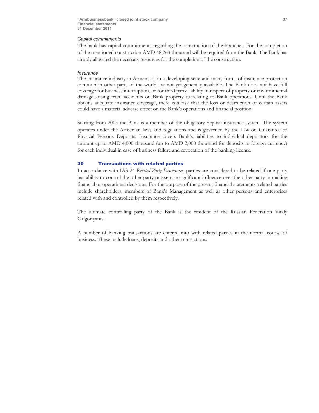**"Armbusinessbank" closed joint stock company 37 Financial statements 31 December 2011**

#### *Capital commitments*

The bank has capital commitments regarding the construction of the branches. For the completion of the mentioned construction AMD 48,263 thousand will be required from the Bank. The Bank has already allocated the necessary resources for the completion of the construction.

#### *Insurance*

The insurance industry in Armenia is in a developing state and many forms of insurance protection common in other parts of the world are not yet generally available. The Bank does not have full coverage for business interruption, or for third party liability in respect of property or environmental damage arising from accidents on Bank property or relating to Bank operations. Until the Bank obtains adequate insurance coverage, there is a risk that the loss or destruction of certain assets could have a material adverse effect on the Bank's operations and financial position.

Starting from 2005 the Bank is a member of the obligatory deposit insurance system. The system operates under the Armenian laws and regulations and is governed by the Law on Guarantee of Physical Persons Deposits. Insurance covers Bank's liabilities to individual depositors for the amount up to AMD 4,000 thousand (up to AMD 2,000 thousand for deposits in foreign currency) for each individual in case of business failure and revocation of the banking license.

## 30 Transactions with related parties

In accordance with IAS 24 *Related Party Disclosures*, parties are considered to be related if one party has ability to control the other party or exercise significant influence over the other party in making financial or operational decisions. For the purpose of the present financial statements, related parties include shareholders, members of Bank's Management as well as other persons and enterprises related with and controlled by them respectively.

The ultimate controlling party of the Bank is the resident of the Russian Federation Vitaly Grigoriyants.

A number of banking transactions are entered into with related parties in the normal course of business. These include loans, deposits and other transactions.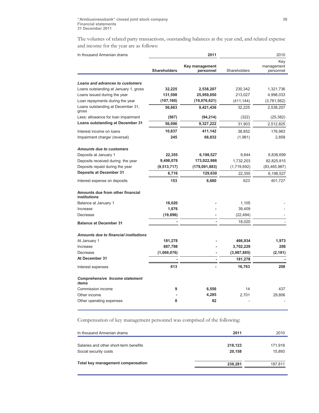The volumes of related party transactions, outstanding balances at the year end, and related expense and income for the year are as follows:

| In thousand Armenian drams                       |                     | 2011                        |              | 2010                           |
|--------------------------------------------------|---------------------|-----------------------------|--------------|--------------------------------|
|                                                  | <b>Shareholders</b> | Key management<br>personnel | Shareholders | Key<br>management<br>personnel |
|                                                  |                     |                             |              |                                |
| <b>Loans and advances to customers</b>           |                     |                             |              |                                |
| Loans outstanding at January 1, gross            | 32,225              | 2,538,207                   | 230,342      | 1,321,736                      |
| Loans issued during the year                     | 131,598             | 25,959,850                  | 213,027      | 4,998,033                      |
| Loan repayments during the year                  | (107, 160)          | (19,076,621)                | (411, 144)   | (3,781,562)                    |
| Loans outstanding at December 31,<br>gross       | 56,663              | 9,421,436                   | 32,225       | 2,538,207                      |
| Less: allowance for loan impairment              | (567)               | (94, 214)                   | (322)        | (25, 382)                      |
| Loans outstanding at December 31                 | 56,096              | 9,327,222                   | 31.903       | 2,512,825                      |
| Interest income on loans                         | 10,837              | 411,142                     | 38,852       | 176,983                        |
| Impairment charge/ (reversal)                    | 245                 | 68,832                      | (1,981)      | 2,858                          |
| <b>Amounts due to customers</b>                  |                     |                             |              |                                |
| Deposits at January 1                            | 22,355              | 6,198,527                   | 9,844        | 6,838,699                      |
| Deposits received during the year                | 9,498,078           | 173,022,986                 | 1,732,203    | 82,825,815                     |
| Deposits repaid during the year                  | (9,513,717)         | (179, 091, 883)             | (1,719,692)  | (83, 465, 987)                 |
| <b>Deposits at December 31</b>                   | 6,716               | 129,630                     | 22,355       | 6,198,527                      |
| Interest expense on deposits                     | 153                 | 6,680                       | 623          | 401,727                        |
| Amounts due from other financial<br>institutions |                     |                             |              |                                |
| Balance at January 1                             | 18,020              |                             | 1,105        |                                |
| Increase                                         | 1,876               |                             | 39,409       |                                |
| Decrease                                         | (19, 896)           |                             | (22, 494)    |                                |
| <b>Balance at December 31</b>                    |                     |                             | 18,020       |                                |
| <b>Amounts due to financial institutions</b>     |                     |                             |              |                                |
| At January 1                                     | 181,278             |                             | 466,934      | 1,973                          |
| Increase                                         | 887,798             |                             | 3,702,229    | 208                            |
| Decrease                                         | (1,069,076)         |                             | (3,987,885)  | (2, 181)                       |
| At December 31                                   |                     |                             | 181,278      |                                |
| Interest expenses                                | 613                 |                             | 16,763       | 208                            |
| <b>Comprehensive Income statement</b><br>items   |                     |                             |              |                                |
| Commission income                                | 9                   | 6,556                       | 14           | 437                            |
| Other income                                     |                     | 4,285                       | 2,701        | 29,806                         |
| Other operating expenses                         | 8                   | 82                          |              |                                |

Compensation of key management personnel was comprised of the following:

| In thousand Armenian drams             | 2011    | 2010    |
|----------------------------------------|---------|---------|
|                                        |         |         |
| Salaries and other short-term benefits | 218,123 | 171,918 |
| Social security costs                  | 20,158  | 15.893  |
| Total key management compensation      | 238,281 | 187,811 |
|                                        |         |         |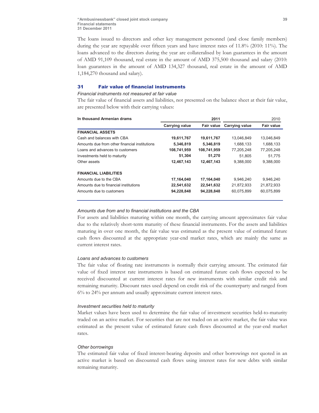**"Armbusinessbank" closed joint stock company 39 Financial statements 31 December 2011**

The loans issued to directors and other key management personnel (and close family members) during the year are repayable over fifteen years and have interest rates of 11.8% (2010: 11%). The loans advanced to the directors during the year are collateralised by loan guarantees in the amount of AMD 91,109 thousand, real estate in the amount of AMD 375,500 thousand and salary (2010: loan guarantees in the amount of AMD 134,327 thousand, real estate in the amount of AMD 1,184,270 thousand and salary).

## 31 Fair value of financial instruments

*Financial instruments not measured at fair value* 

The fair value of financial assets and liabilities, not presented on the balance sheet at their fair value, are presented below with their carrying values:

| In thousand Armenian drams                    |                       | 2011        |                       | 2010              |
|-----------------------------------------------|-----------------------|-------------|-----------------------|-------------------|
|                                               | <b>Carrying value</b> | Fair value  | <b>Carrying value</b> | <b>Fair value</b> |
| <b>FINANCIAL ASSETS</b>                       |                       |             |                       |                   |
| Cash and balances with CBA                    | 19,611,767            | 19,611,767  | 13.046.849            | 13,046,849        |
| Amounts due from other financial institutions | 5,346,819             | 5,346,819   | 1,688,133             | 1,688,133         |
| Loans and advances to customers               | 108,741,959           | 108.741.959 | 77,205,248            | 77,205,248        |
| Investments held to maturity                  | 51,304                | 51,270      | 51,805                | 51,775            |
| Other assets                                  | 12,467,143            | 12,467,143  | 9.388.000             | 9,388,000         |
| <b>FINANCIAL LIABILITIES</b>                  |                       |             |                       |                   |
| Amounts due to the CBA                        | 17,164,040            | 17.164.040  | 9.946.240             | 9.946.240         |
| Amounts due to financial institutions         | 22,541,632            | 22.541.632  | 21,872,933            | 21,872,933        |
| Amounts due to customers                      | 94,228,848            | 94,228,848  | 60,075,899            | 60,075,899        |

#### *Amounts due from and to financial institutions and the CBA*

For assets and liabilities maturing within one month, the carrying amount approximates fair value due to the relatively short-term maturity of these financial instruments. For the assets and liabilities maturing in over one month, the fair value was estimated as the present value of estimated future cash flows discounted at the appropriate year-end market rates, which are mainly the same as current interest rates.

#### *Loans and advances to customers*

The fair value of floating rate instruments is normally their carrying amount. The estimated fair value of fixed interest rate instruments is based on estimated future cash flows expected to be received discounted at current interest rates for new instruments with similar credit risk and remaining maturity. Discount rates used depend on credit risk of the counterparty and ranged from 6% to 24% per annum and usually approximate current interest rates.

#### *Investment securities held to maturity*

Market values have been used to determine the fair value of investment securities held-to-maturity traded on an active market. For securities that are not traded on an active market, the fair value was estimated as the present value of estimated future cash flows discounted at the year-end market rates.

#### *Other borrowings*

The estimated fair value of fixed interest-bearing deposits and other borrowings not quoted in an active market is based on discounted cash flows using interest rates for new debts with similar remaining maturity.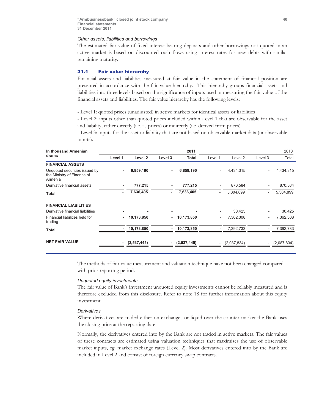#### *Other assets, liabilities and borrowings*

The estimated fair value of fixed interest-bearing deposits and other borrowings not quoted in an active market is based on discounted cash flows using interest rates for new debts with similar remaining maturity.

#### 31.1 Fair value hierarchy

Financial assets and liabilities measured at fair value in the statement of financial position are presented in accordance with the fair value hierarchy. This hierarchy groups financial assets and liabilities into three levels based on the significance of inputs used in measuring the fair value of the financial assets and liabilities. The fair value hierarchy has the following levels:

- Level 1: quoted prices (unadjusted) in active markets for identical assets or liabilities

- Level 2: inputs other than quoted prices included within Level 1 that are observable for the asset and liability, either directly (i.e. as prices) or indirectly (i.e. derived from prices)

- Level 3: inputs for the asset or liability that are not based on observable market data (unobservable inputs).

| In thousand Armenian                                                   |                          |                |                | 2011         |                          |             |         | 2010        |
|------------------------------------------------------------------------|--------------------------|----------------|----------------|--------------|--------------------------|-------------|---------|-------------|
| drams                                                                  | Level 1                  | Level 2        | Level 3        | <b>Total</b> | Level 1                  | Level 2     | Level 3 | Total       |
| <b>FINANCIAL ASSETS</b>                                                |                          |                |                |              |                          |             |         |             |
| Unquoted securities issued by<br>the Ministry of Finance of<br>Armenia |                          | 6,859,190      |                | 6,859,190    | $\overline{\phantom{a}}$ | 4,434,315   |         | 4,434,315   |
| Derivative financial assets                                            |                          | 777,215        |                | 777,215      |                          | 870,584     |         | 870,584     |
| <b>Total</b>                                                           | -                        | 7,636,405      |                | 7,636,405    |                          | 5,304,899   |         | 5,304,899   |
| <b>FINANCIAL LIABILITIES</b>                                           |                          |                |                |              |                          |             |         |             |
| Derivative financial liabilities                                       |                          | $\blacksquare$ |                |              | ۰                        | 30,425      |         | 30,425      |
| Financial liabilities held for<br>trading                              | $\overline{\phantom{0}}$ | 10,173,850     |                | 10,173,850   | $\overline{\phantom{a}}$ | 7,362,308   |         | 7,362,308   |
| <b>Total</b>                                                           | -                        | 10,173,850     |                | 10,173,850   |                          | 7,392,733   |         | 7,392,733   |
| <b>NET FAIR VALUE</b>                                                  |                          | (2,537,445)    | $\blacksquare$ | (2,537,445)  |                          | (2,087,834) | $\sim$  | (2,087,834) |
|                                                                        |                          |                |                |              |                          |             |         |             |

The methods of fair value measurement and valuation technique have not been changed compared with prior reporting period.

#### *Unquoted equity investments*

The fair value of Bank's investment unquoted equity investments cannot be reliably measured and is therefore excluded from this disclosure. Refer to note 18 for further information about this equity investment.

#### *Derivatives*

Where derivatives are traded either on exchanges or liquid over-the-counter market the Bank uses the closing price at the reporting date.

Normally, the derivatives entered into by the Bank are not traded in active markets. The fair values of these contracts are estimated using valuation techniques that maximises the use of observable market inputs, eg. market exchange rates (Level 2). Most derivatives entered into by the Bank are included in Level 2 and consist of foreign currency swap contracts.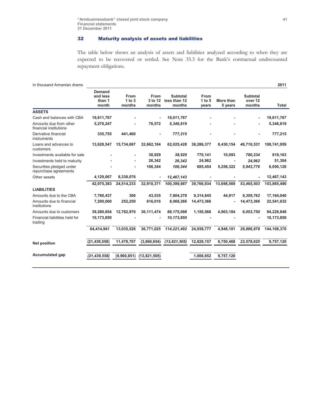## 32 Maturity analysis of assets and liabilities

The table below shows an analysis of assets and liabilities analyzed according to when they are expected to be recovered or settled. See Note 33.3 for the Bank's contractual undiscounted repayment obligations.

|                                       |                                     |                                  |                                           |                                |                      |                                      | 2011         |
|---------------------------------------|-------------------------------------|----------------------------------|-------------------------------------------|--------------------------------|----------------------|--------------------------------------|--------------|
| Demand<br>and less<br>than 1<br>month | <b>From</b><br>$1$ to $3$<br>months | <b>From</b><br>3 to 12<br>months | <b>Subtotal</b><br>less than 12<br>months | <b>From</b><br>1 to 5<br>years | More than<br>5 years | <b>Subtotal</b><br>over 12<br>months | <b>Total</b> |
|                                       |                                     |                                  |                                           |                                |                      |                                      |              |
| 19,611,767                            |                                     | $\overline{\phantom{a}}$         | 19,611,767                                |                                |                      |                                      | 19,611,767   |
| 5,270,247                             |                                     | 76,572                           | 5,346,819                                 |                                |                      |                                      | 5,346,819    |
| 335,755                               | 441,460                             |                                  | 777,215                                   |                                |                      |                                      | 777,215      |
| 13,628,547                            | 15,734,697                          | 32,662,184                       | 62,025,428                                | 38,286,377                     | 8,430,154            | 46,716,531                           | 108,741,959  |
|                                       |                                     | 38,929                           | 38,929                                    | 770,141                        | 10,093               | 780,234                              | 819,163      |
|                                       |                                     | 26,342                           | 26,342                                    | 24,962                         |                      | 24,962                               | 51,304       |
|                                       |                                     | 106,344                          | 106,344                                   | 685,454                        | 5,258,322            | 5,943,776                            | 6,050,120    |
| 4,129,067                             | 8,338,076                           | $\blacksquare$                   | 12,467,143                                |                                |                      |                                      | 12,467,143   |
| 42,975,383                            | 24,514,233                          | 32,910,371                       | 100,399,987                               |                                | 13,698,569           | 53,465,503                           | 153,865,490  |
|                                       |                                     |                                  |                                           |                                |                      |                                      |              |
| 7,760,437                             | 306                                 | 43,535                           | 7,804,278                                 | 9,314,845                      | 44,917               | 9,359,762                            | 17,164,040   |
| 7,200,000                             | 252,250                             | 616,016                          | 8,068,266                                 | 14,473,366                     |                      | 14,473,366                           | 22,541,632   |
| 39,280,654                            | 12,782,970                          | 36,111,474                       | 88,175,098                                | 1,150,566                      | 4,903,184            | 6,053,750                            | 94,228,848   |
| 10,173,850                            |                                     |                                  | 10,173,850                                |                                |                      |                                      | 10,173,850   |
| 64,414,941                            | 13,035,526                          | 36,771,025                       | 114,221,492                               | 24,938,777                     | 4,948,101            | 29,886,878                           | 144,108,370  |
|                                       | 11,478,707                          | (3,860,654)                      | (13, 821, 505)                            | 12,828,157                     | 8.750.468            | 23,578,625                           | 9,757,120    |
|                                       | (9.960.851)                         | (13.821.505)                     |                                           | 1.006.652                      | 9.757.120            |                                      |              |
|                                       | (21, 439, 558)<br>(21, 439, 558)    |                                  |                                           |                                |                      | 39,766,934                           |              |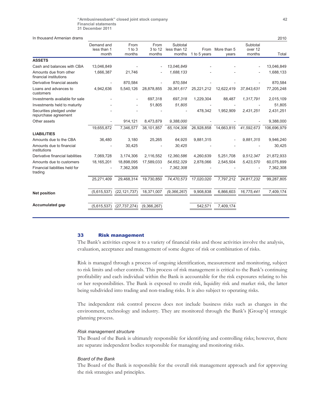In thousand Armenian drams 2010

|                                              | Demand and<br>less than 1<br>month | From<br>1 to 3<br>months | From<br>3 to 12<br>months | Subtotal<br>less than 12<br>months | 1 to 5 years | From More than 5<br>years | Subtotal<br>over 12<br>months | Total       |
|----------------------------------------------|------------------------------------|--------------------------|---------------------------|------------------------------------|--------------|---------------------------|-------------------------------|-------------|
| <b>SETS</b>                                  |                                    |                          |                           |                                    |              |                           |                               |             |
| sh and balances with CBA                     | 13,046,849                         |                          |                           | 13,046,849                         |              |                           |                               | 13,046,849  |
| nounts due from other<br>ancial institutions | 1,666,387                          | 21,746                   |                           | 1,688,133                          |              |                           |                               | 1,688,133   |
| rivative financial assets                    |                                    | 870,584                  |                           | 870,584                            |              |                           |                               | 870,584     |
| ans and advances to<br>stomers               | 4,942,636                          | 5,540,126                | 28,878,855                | 39,361,617                         | 25,221,212   | 12,622,419                | 37,843,631                    | 77,205,248  |
| estments available for sale                  |                                    |                          | 697,318                   | 697,318                            | 1,229,304    | 88,487                    | 1,317,791                     | 2,015,109   |
| estments held to maturity                    |                                    |                          | 51,805                    | 51,805                             |              |                           |                               | 51,805      |
| curities pledged under<br>urchase agreement  |                                    |                          |                           |                                    | 478,342      | 1,952,909                 | 2,431,251                     | 2,431,251   |
| her assets                                   |                                    | 914,121                  | 8,473,879                 | 9.388,000                          |              |                           |                               | 9,388,000   |
|                                              | 19,655,872                         | 7,346,577                | 38,101,857                | 65, 104, 306                       |              | 26,928,858 14,663,815     | 41,592,673                    | 106,696,979 |
| <b>ABILITIES</b>                             |                                    |                          |                           |                                    |              |                           |                               |             |
| hounts due to the CBA                        | 36,480                             | 3,180                    | 25,265                    | 64,925                             | 9,881,315    |                           | 9.881,315                     | 9,946,240   |
| hounts due to financial<br>titutions         |                                    | 30,425                   |                           | 30,425                             |              |                           |                               | 30,425      |
| rivative financial liabilities               | 7,069,728                          | 3,174,306                | 2,116,552                 | 12,360,586                         | 4,260,639    | 5,251,708                 | 9.512.347                     | 21,872,933  |
| nounts due to customers                      | 18,165,201                         | 18,898,095               | 17,589,033                | 54,652,329                         | 2,878,066    | 2,545,504                 | 5,423,570                     | 60,075,899  |
| ancial liabilities held for<br>ding          |                                    | 7,362,308                |                           | 7.362,308                          |              |                           |                               | 7,362,308   |
|                                              | 25,271,409                         | 29,468,314               | 19,730,850                | 74,470,573                         | 17,020,020   | 7,797,212                 | 24,817,232                    | 99,287,805  |
| t position                                   | (5,615,537)                        | (22, 121, 737)           | 18,371,007                | (9, 366, 267)                      | 9,908,838    | 6,866,603                 | 16,775,441                    | 7,409,174   |
| cumulated gap                                | (5,615,537)                        | (27, 737, 274)           | (9,366,267)               |                                    | 542,571      | 7,409,174                 |                               |             |

#### 33 Risk management

The Bank's activities expose it to a variety of financial risks and those activities involve the analysis, evaluation, acceptance and management of some degree of risk or combination of risks.

Risk is managed through a process of ongoing identification, measurement and monitoring, subject to risk limits and other controls. This process of risk management is critical to the Bank's continuing profitability and each individual within the Bank is accountable for the risk exposures relating to his or her responsibilities. The Bank is exposed to credit risk, liquidity risk and market risk, the latter being subdivided into trading and non-trading risks. It is also subject to operating risks.

The independent risk control process does not include business risks such as changes in the environment, technology and industry. They are monitored through the Bank's [Group's] strategic planning process.

#### *Risk management structure*

The Board of the Bank is ultimately responsible for identifying and controlling risks; however, there are separate independent bodies responsible for managing and monitoring risks.

#### *Board of the Bank*

The Board of the Bank is responsible for the overall risk management approach and for approving the risk strategies and principles.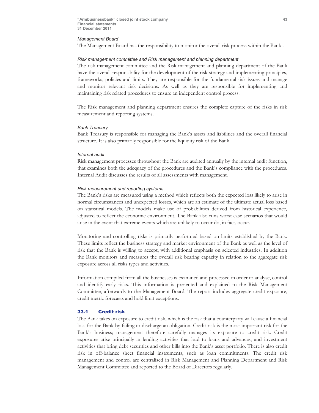## *Management Board*

The Management Board has the responsibility to monitor the overall risk process within the Bank .

## *Risk management committee and Risk management and planning department*

The risk management committee and the Risk management and planning department of the Bank have the overall responsibility for the development of the risk strategy and implementing principles, frameworks, policies and limits. They are responsible for the fundamental risk issues and manage and monitor relevant risk decisions. As well as they are responsible for implementing and maintaining risk related procedures to ensure an independent control process.

The Risk management and planning department ensures the complete capture of the risks in risk measurement and reporting systems.

## *Bank Treasury*

Bank Treasury is responsible for managing the Bank's assets and liabilities and the overall financial structure. It is also primarily responsible for the liquidity risk of the Bank.

#### *Internal audit*

Risk management processes throughout the Bank are audited annually by the internal audit function, that examines both the adequacy of the procedures and the Bank's compliance with the procedures. Internal Audit discusses the results of all assessments with management.

#### *Risk measurement and reporting systems*

The Bank's risks are measured using a method which reflects both the expected loss likely to arise in normal circumstances and unexpected losses, which are an estimate of the ultimate actual loss based on statistical models. The models make use of probabilities derived from historical experience, adjusted to reflect the economic environment. The Bank also runs worst case scenarios that would arise in the event that extreme events which are unlikely to occur do, in fact, occur.

Monitoring and controlling risks is primarily performed based on limits established by the Bank. These limits reflect the business strategy and market environment of the Bank as well as the level of risk that the Bank is willing to accept, with additional emphasis on selected industries. In addition the Bank monitors and measures the overall risk bearing capacity in relation to the aggregate risk exposure across all risks types and activities.

Information compiled from all the businesses is examined and processed in order to analyse, control and identify early risks. This information is presented and explained to the Risk Management Committee, afterwards to the Management Board. The report includes aggregate credit exposure, credit metric forecasts and hold limit exceptions.

## 33.1 Credit risk

The Bank takes on exposure to credit risk, which is the risk that a counterparty will cause a financial loss for the Bank by failing to discharge an obligation. Credit risk is the most important risk for the Bank's business; management therefore carefully manages its exposure to credit risk. Credit exposures arise principally in lending activities that lead to loans and advances, and investment activities that bring debt securities and other bills into the Bank's asset portfolio. There is also credit risk in off-balance sheet financial instruments, such as loan commitments. The credit risk management and control are centralised in Risk Management and Planning Department and Risk Management Committee and reported to the Board of Directors regularly.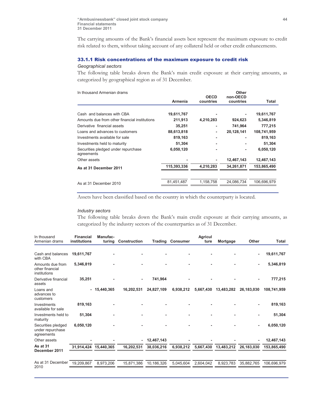The carrying amounts of the Bank's financial assets best represent the maximum exposure to credit risk related to them, without taking account of any collateral held or other credit enhancements.

#### 33.1.1 Risk concentrations of the maximum exposure to credit risk

#### *Geographical sectors*

The following table breaks down the Bank's main credit exposure at their carrying amounts, as categorized by geographical region as of 31 December.

| In thousand Armenian drams                        |             |                          | Other                 |             |
|---------------------------------------------------|-------------|--------------------------|-----------------------|-------------|
|                                                   | Armenia     | <b>OECD</b><br>countries | non-OECD<br>countries | Total       |
|                                                   |             |                          |                       |             |
| Cash and balances with CBA                        | 19,611,767  |                          |                       | 19,611,767  |
| Amounts due from other financial institutions     | 211,913     | 4,210,283                | 924,623               | 5,346,819   |
| Derivative financial assets                       | 35,251      |                          | 741.964               | 777,215     |
| Loans and advances to customers                   | 88,613,818  |                          | 20,128,141            | 108,741,959 |
| Investments available for sale                    | 819,163     |                          |                       | 819,163     |
| Investments held to maturity                      | 51,304      |                          |                       | 51,304      |
| Securities pledged under repurchase<br>agreements | 6,050,120   |                          |                       | 6,050,120   |
| Other assets                                      |             |                          | 12,467,143            | 12,467,143  |
| As at 31 December 2011                            | 115,393,336 | 4,210,283                | 34,261,871            | 153,865,490 |
|                                                   |             |                          |                       |             |
| As at 31 December 2010                            | 81,451,487  | 1,158,758                | 24,086,734            | 106,696,979 |
|                                                   |             |                          |                       |             |

Assets have been classified based on the country in which the counterparty is located.

#### *Industry sectors*

The following table breaks down the Bank's main credit exposure at their carrying amounts, as categorized by the industry sectors of the counterparties as of 31 December.

| thousand<br>menian drams                          | <b>Financial</b><br>institutions | Manufac-<br>turing    | <b>Construction</b>      | Trading    | <b>Consumer</b> | Agricul<br>ture | Mortgage   | Other                    | Total       |
|---------------------------------------------------|----------------------------------|-----------------------|--------------------------|------------|-----------------|-----------------|------------|--------------------------|-------------|
| ash and balances<br>ith CBA                       | 19,611,767                       |                       |                          |            |                 |                 |            | $\blacksquare$           | 19,611,767  |
| mounts due from<br>her financial<br>stitutions    | 5,346,819                        |                       |                          |            |                 |                 |            | $\overline{\phantom{a}}$ | 5,346,819   |
| erivative financial<br>ssets                      | 35,251                           |                       | $\overline{\phantom{a}}$ | 741,964    |                 |                 |            | $\overline{\phantom{a}}$ | 777,215     |
| bans and<br>dvances to<br>ustomers                |                                  | $-15,440,365$         | 16,202,531               | 24,827,109 | 6,938,212       | 5,667,430       | 13,483,282 | 26,183,030               | 108,741,959 |
| vestments<br>vailable for sale                    | 819,163                          |                       |                          |            |                 |                 |            |                          | 819,163     |
| vestments held to<br>aturity                      | 51,304                           |                       |                          |            |                 |                 |            |                          | 51,304      |
| ecurities pledged<br>nder repurchase<br>greements | 6,050,120                        |                       |                          |            |                 |                 |            | $\blacksquare$           | 6,050,120   |
| ther assets                                       |                                  |                       | $\overline{\phantom{a}}$ | 12,467,143 |                 |                 |            | $\overline{\phantom{a}}$ | 12,467,143  |
| s at 31<br>ecember 2011                           |                                  | 31,914,424 15,440,365 | 16,202,531               | 38,036,216 | 6,938,212       | 5,667,430       | 13,483,212 | 26,183,030               | 153,865,490 |
| s at 31 December<br>010                           | 19,209,867                       | 8,973,206             | 15,871,386               | 10,186,326 | 5,045,604       | 2,604,042       | 8,923,783  | 35,882,765               | 106,696,979 |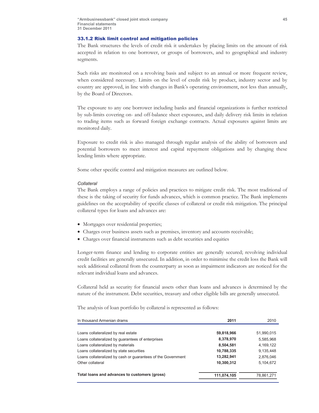## 33.1.2 Risk limit control and mitigation policies

The Bank structures the levels of credit risk it undertakes by placing limits on the amount of risk accepted in relation to one borrower, or groups of borrowers, and to geographical and industry segments.

Such risks are monitored on a revolving basis and subject to an annual or more frequent review, when considered necessary. Limits on the level of credit risk by product, industry sector and by country are approved, in line with changes in Bank's operating environment, not less than annually, by the Board of Directors.

The exposure to any one borrower including banks and financial organizations is further restricted by sub-limits covering on- and off-balance sheet exposures, and daily delivery risk limits in relation to trading items such as forward foreign exchange contracts. Actual exposures against limits are monitored daily.

Exposure to credit risk is also managed through regular analysis of the ability of borrowers and potential borrowers to meet interest and capital repayment obligations and by changing these lending limits where appropriate.

Some other specific control and mitigation measures are outlined below.

## *Collateral*

The Bank employs a range of policies and practices to mitigate credit risk. The most traditional of these is the taking of security for funds advances, which is common practice. The Bank implements guidelines on the acceptability of specific classes of collateral or credit risk mitigation. The principal collateral types for loans and advances are:

- Mortgages over residential properties;
- Charges over business assets such as premises, inventory and accounts receivable;
- Charges over financial instruments such as debt securities and equities

Longer-term finance and lending to corporate entities are generally secured; revolving individual credit facilities are generally unsecured. In addition, in order to minimise the credit loss the Bank will seek additional collateral from the counterparty as soon as impairment indicators are noticed for the relevant individual loans and advances.

Collateral held as security for financial assets other than loans and advances is determined by the nature of the instrument. Debt securities, treasury and other eligible bills are generally unsecured.

The analysis of loan portfolio by collateral is represented as follows:

| In thousand Armenian drams                                   | 2011        | 2010       |
|--------------------------------------------------------------|-------------|------------|
|                                                              |             |            |
| Loans collateralized by real estate                          | 59,818,966  | 51,990,015 |
| Loans collateralized by guarantees of enterprises            | 8,378,970   | 5,585,968  |
| Loans collateralized by materials                            | 8,504,581   | 4,169,122  |
| Loans collateralized by state securities                     | 10,788,335  | 9,135,448  |
| Loans collateralized by cash or quarantees of the Government | 13,282,941  | 2,876,046  |
| Other collateral                                             | 10,300,312  | 5,104,672  |
| Total loans and advances to customers (gross)                | 111,074,105 | 78,861,271 |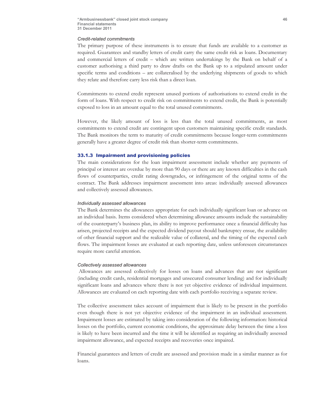## *Credit-related commitments*

The primary purpose of these instruments is to ensure that funds are available to a customer as required. Guarantees and standby letters of credit carry the same credit risk as loans. Documentary and commercial letters of credit – which are written undertakings by the Bank on behalf of a customer authorising a third party to draw drafts on the Bank up to a stipulated amount under specific terms and conditions – are collateralised by the underlying shipments of goods to which they relate and therefore carry less risk than a direct loan.

Commitments to extend credit represent unused portions of authorisations to extend credit in the form of loans. With respect to credit risk on commitments to extend credit, the Bank is potentially exposed to loss in an amount equal to the total unused commitments.

However, the likely amount of loss is less than the total unused commitments, as most commitments to extend credit are contingent upon customers maintaining specific credit standards. The Bank monitors the term to maturity of credit commitments because longer-term commitments generally have a greater degree of credit risk than shorter-term commitments.

## 33.1.3 Impairment and provisioning policies

The main considerations for the loan impairment assessment include whether any payments of principal or interest are overdue by more than 90 days or there are any known difficulties in the cash flows of counterparties, credit rating downgrades, or infringement of the original terms of the contract. The Bank addresses impairment assessment into areas: individually assessed allowances and collectively assessed allowances.

## *Individually assessed allowances*

The Bank determines the allowances appropriate for each individually significant loan or advance on an individual basis. Items considered when determining allowance amounts include the sustainability of the counterparty's business plan, its ability to improve performance once a financial difficulty has arisen, projected receipts and the expected dividend payout should bankruptcy ensue, the availability of other financial support and the realizable value of collateral, and the timing of the expected cash flows. The impairment losses are evaluated at each reporting date, unless unforeseen circumstances require more careful attention.

## *Collectively assessed allowances*

 Allowances are assessed collectively for losses on loans and advances that are not significant (including credit cards, residential mortgages and unsecured consumer lending) and for individually significant loans and advances where there is not yet objective evidence of individual impairment. Allowances are evaluated on each reporting date with each portfolio receiving a separate review.

The collective assessment takes account of impairment that is likely to be present in the portfolio even though there is not yet objective evidence of the impairment in an individual assessment. Impairment losses are estimated by taking into consideration of the following information: historical losses on the portfolio, current economic conditions, the approximate delay between the time a loss is likely to have been incurred and the time it will be identified as requiring an individually assessed impairment allowance, and expected receipts and recoveries once impaired.

Financial guarantees and letters of credit are assessed and provision made in a similar manner as for loans.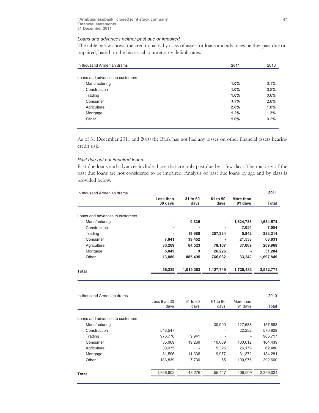## *Loans and advances neither past due or impaired*

The table below shows the credit quality by class of asset for loans and advances neither past due or impaired, based on the historical counterparty default rates.

| In thousand Armenian drams      | 2011    | 2010 |
|---------------------------------|---------|------|
|                                 |         |      |
| Loans and advances to customers |         |      |
| Manufacturing                   | 1.0%    | 0.1% |
| Construction                    | $1.0\%$ | 0.2% |
| Trading                         | $1.0\%$ | 0.6% |
| Consumer                        | 3.2%    | 2.6% |
| Agriculture                     | 2.0%    | 1.8% |
| Mortgage                        | 1.2%    | 1.3% |
| Other                           | 1.0%    | 0.2% |

As of 31 December 2011 and 2010 the Bank has not had any losses on other financial assets bearing credit risk.

#### *Past due but not impaired loans*

Past due loans and advances include those that are only past due by a few days. The majority of the past due loans are not considered to be impaired. Analysis of past due loans by age and by class is provided below.

| In thousand Armenian drams      |                      |                          |                  |                      | 2011         |
|---------------------------------|----------------------|--------------------------|------------------|----------------------|--------------|
|                                 | Less than<br>30 days | 31 to 60<br>days         | 61 to 90<br>days | More than<br>91 days | <b>Total</b> |
| Loans and advances to customers |                      |                          |                  |                      |              |
| Manufacturing                   | -                    | 9,836                    |                  | 1,624,738            | 1,634,574    |
| Construction                    | -                    | $\overline{\phantom{a}}$ |                  | 7.054                | 7,054        |
|                                 |                      |                          |                  |                      | 283,214      |
| Trading                         | -                    | 19,988                   | 257,384          | 5,842                |              |
| Consumer                        | 7,841                | 39,452                   | -                | 21,538               | 68,831       |
| Agriculture                     | 30,269               | 64,523                   | 78,107           | 37,069               | 209,968      |
| Mortgage                        | 5.049                | 9                        | 26,226           | $\blacksquare$       | 31,284       |
| Other                           | 13,080               | 885,495                  | 766,032          | 33,242               | 1,697,849    |
| Total                           | 56,239               | 1,019,303                | 1,127,749        | 1,729,483            | 3,932,774    |
|                                 |                      |                          |                  |                      |              |

| In thousand Armenian drams      |                      |                  |                  |                      | 2010      |
|---------------------------------|----------------------|------------------|------------------|----------------------|-----------|
|                                 | Less than 30<br>days | 31 to 60<br>days | 61 to 90<br>days | More than<br>91 days | Total     |
|                                 |                      |                  |                  |                      |           |
| Loans and advances to customers |                      |                  |                  |                      |           |
| Manufacturing                   |                      |                  | 30.000           | 127.688              | 157.688   |
| Construction                    | 548,547              |                  |                  | 22,282               | 570,829   |
| Trading                         | 976.776              | 9.941            | -                | ۰                    | 986.717   |
| Consumer                        | 35.069               | 19,269           | 10.089           | 100,012              | 164,439   |
| Agriculture                     | 30,975               |                  | 5,326            | 26,179               | 62,480    |
| Mortgage                        | 81,596               | 11.336           | 9.977            | 31.372               | 134.281   |
| Other                           | 183.839              | 7.730            | 55               | 100.976              | 292.600   |
| Total                           | 1,856,802            | 48.276           | 55.447           | 408.509              | 2,369,034 |
|                                 |                      |                  |                  |                      |           |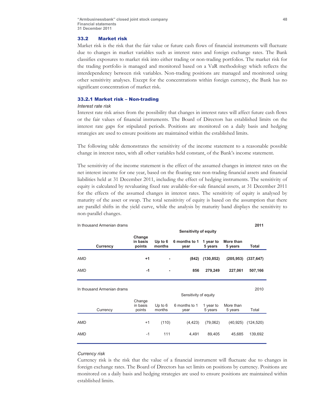#### 33.2 Market risk

Market risk is the risk that the fair value or future cash flows of financial instruments will fluctuate due to changes in market variables such as interest rates and foreign exchange rates. The Bank classifies exposures to market risk into either trading or non-trading portfolios. The market risk for the trading portfolio is managed and monitored based on a VaR methodology which reflects the interdependency between risk variables. Non-trading positions are managed and monitored using other sensitivity analyses. Except for the concentrations within foreign currency, the Bank has no significant concentration of market risk.

#### 33.2.1 Market risk – Non-trading

#### *Interest rate risk*

Interest rate risk arises from the possibility that changes in interest rates will affect future cash flows or the fair values of financial instruments. The Board of Directors has established limits on the interest rate gaps for stipulated periods. Positions are monitored on a daily basis and hedging strategies are used to ensure positions are maintained within the established limits.

The following table demonstrates the sensitivity of the income statement to a reasonable possible change in interest rates, with all other variables held constant, of the Bank's income statement.

The sensitivity of the income statement is the effect of the assumed changes in interest rates on the net interest income for one year, based on the floating rate non-trading financial assets and financial liabilities held at 31 December 2011, including the effect of hedging instruments. The sensitivity of equity is calculated by revaluating fixed rate available-for-sale financial assets, at 31 December 2011 for the effects of the assumed changes in interest rates. The sensitivity of equity is analysed by maturity of the asset or swap. The total sensitivity of equity is based on the assumption that there are parallel shifts in the yield curve, while the analysis by maturity band displays the sensitivity to non-parallel changes.

| <u>III UJUUSAIJU AIIIJEIJIAII UJAIJIS</u> |                              |                     |                              |                      |                      | 40 I I       |
|-------------------------------------------|------------------------------|---------------------|------------------------------|----------------------|----------------------|--------------|
|                                           |                              |                     | <b>Sensitivity of equity</b> |                      |                      |              |
| Currency                                  | Change<br>in basis<br>points | Up to $6$<br>months | 6 months to 1<br>year        | 1 year to<br>5 years | More than<br>5 years | <b>Total</b> |
| AMD                                       | $+1$                         |                     | (842)                        | (130, 852)           | (205, 953)           | (337, 647)   |
| AMD                                       | $-1$                         | $\blacksquare$      | 856                          | 279,249              | 227,061              | 507,166      |
| In thousand Armenian drams                |                              |                     | Sensitivity of equity        |                      |                      | 2010         |
|                                           |                              |                     |                              |                      |                      |              |
| Currency                                  | Change<br>in basis<br>points | Up to $6$<br>months | 6 months to 1<br>year        | 1 year to<br>5 years | More than<br>5 years | Total        |
| AMD                                       | $+1$                         | (110)               | (4, 423)                     | (79,062)             | (40, 925)            | (124, 520)   |
| AMD                                       | $-1$                         | 111                 | 4,491                        | 89,405               | 45,685               | 139,692      |

In thousand Armenian drams **2011**

#### *Currency risk*

Currency risk is the risk that the value of a financial instrument will fluctuate due to changes in foreign exchange rates. The Board of Directors has set limits on positions by currency. Positions are monitored on a daily basis and hedging strategies are used to ensure positions are maintained within established limits.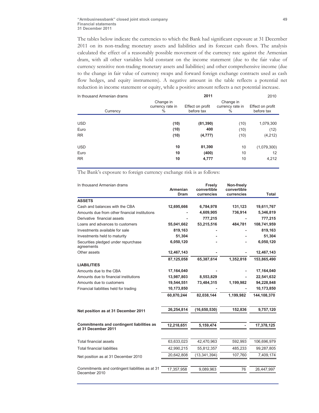The tables below indicate the currencies to which the Bank had significant exposure at 31 December 2011 on its non-trading monetary assets and liabilities and its forecast cash flows. The analysis calculated the effect of a reasonably possible movement of the currency rate against the Armenian dram, with all other variables held constant on the income statement (due to the fair value of currency sensitive non-trading monetary assets and liabilities) and other comprehensive income (due to the change in fair value of currency swaps and forward foreign exchange contracts used as cash flow hedges, and equity instruments). A negative amount in the table reflects a potential net reduction in income statement or equity, while a positive amount reflects a net potential increase.

| In thousand Armenian drams |                                       | 2010                                               |      |                                |  |
|----------------------------|---------------------------------------|----------------------------------------------------|------|--------------------------------|--|
| Currency                   | Change in<br>currency rate in<br>$\%$ | Effect on profit<br>currency rate in<br>before tax |      | Effect on profit<br>before tax |  |
|                            |                                       |                                                    |      |                                |  |
| <b>USD</b>                 | (10)                                  | (81, 390)                                          | (10) | 1,079,300                      |  |
| Euro                       | (10)                                  | 400                                                | (10) | (12)                           |  |
| <b>RR</b>                  | (10)                                  | (4, 777)                                           | (10) | (4,212)                        |  |
| <b>USD</b>                 | 10                                    | 81,390                                             | 10   | (1,079,300)                    |  |
| Euro                       | 10                                    | (400)                                              | 10   | 12                             |  |
| <b>RR</b>                  | 10                                    | 4,777                                              | 10   | 4,212                          |  |
|                            |                                       |                                                    |      |                                |  |

The Bank's exposure to foreign currency exchange risk is as follows:

| In thousand Armenian drams                                       | Armenian   | Freely<br>convertible | Non-freely<br>convertible |              |
|------------------------------------------------------------------|------------|-----------------------|---------------------------|--------------|
|                                                                  | Dram       | currencies            | currencies                | <b>Total</b> |
| <b>ASSETS</b>                                                    |            |                       |                           |              |
| Cash and balances with the CBA                                   | 12,695,666 | 6,784,978             | 131,123                   | 19,611,767   |
| Amounts due from other financial institutions                    |            | 4,609,905             | 736,914                   | 5,346,819    |
| Derivative financial assets                                      |            | 777,215               |                           | 777,215      |
| Loans and advances to customers                                  | 55,041,662 | 53,215,516            | 484,781                   | 108,741,959  |
| Investments available for sale                                   | 819,163    |                       |                           | 819,163      |
| Investments held to maturity                                     | 51,304     |                       |                           | 51,304       |
| Securities pledged under repurchase<br>agreements                | 6,050,120  |                       |                           | 6,050,120    |
| Other assets                                                     | 12,467,143 |                       |                           | 12,467,143   |
|                                                                  | 87,125,058 | 65,387,614            | 1,352,818                 | 153,865,490  |
| <b>LIABILITIES</b>                                               |            |                       |                           |              |
| Amounts due to the CBA                                           | 17,164,040 |                       |                           | 17,164,040   |
| Amounts due to financial institutions                            | 13,987,803 | 8,553,829             |                           | 22,541,632   |
| Amounts due to customers                                         | 19,544,551 | 73,484,315            | 1,199,982                 | 94,228,848   |
| Financial liabilities held for trading                           | 10,173,850 |                       |                           | 10,173,850   |
|                                                                  | 60,870,244 | 82,038,144            | 1,199,982                 | 144,108,370  |
| Net position as at 31 December 2011                              | 26,254,814 | (16, 650, 530)        | 152,836                   | 9,757,120    |
|                                                                  |            |                       |                           |              |
| Commitments and contingent liabilities as<br>at 31 December 2011 | 12,218,651 | 5,159,474             |                           | 17,378,125   |
| <b>Total financial assets</b>                                    | 63,633,023 | 42,470,963            | 592,993                   | 106,696,979  |
| <b>Total financial liabilities</b>                               | 42,990,215 | 55,812,357            | 485,233                   | 99,287,805   |
|                                                                  |            |                       | 107,760                   |              |
| Net position as at 31 December 2010                              | 20,642,808 | (13, 341, 394)        |                           | 7,409,174    |
| Commitments and contingent liabilities as at 31<br>December 2010 | 17,357,958 | 9,089,963             | 76                        | 26,447,997   |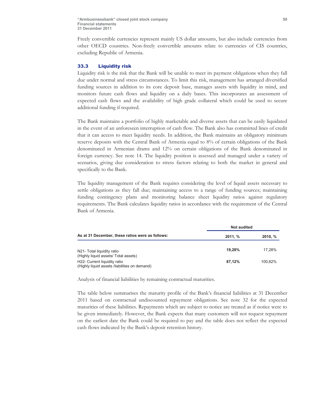Freely convertible currencies represent mainly US dollar amounts, but also include currencies from other OECD countries. Non-freely convertible amounts relate to currencies of CIS countries, excluding Republic of Armenia.

## 33.3 Liquidity risk

Liquidity risk is the risk that the Bank will be unable to meet its payment obligations when they fall due under normal and stress circumstances. To limit this risk, management has arranged diversified funding sources in addition to its core deposit base, manages assets with liquidity in mind, and monitors future cash flows and liquidity on a daily bases. This incorporates an assessment of expected cash flows and the availability of high grade collateral which could be used to secure additional funding if required.

The Bank maintains a portfolio of highly marketable and diverse assets that can be easily liquidated in the event of an unforeseen interruption of cash flow. The Bank also has committed lines of credit that it can access to meet liquidity needs. In addition, the Bank maintains an obligatory minimum reserve deposits with the Central Bank of Armenia equal to 8% of certain obligations of the Bank denominated in Armenian drams and 12% on certain obligations of the Bank denominated in foreign currency. See note 14. The liquidity position is assessed and managed under a variety of scenarios, giving due consideration to stress factors relating to both the market in general and specifically to the Bank.

The liquidity management of the Bank requires considering the level of liquid assets necessary to settle obligations as they fall due; maintaining access to a range of funding sources; maintaining funding contingency plans and monitoring balance sheet liquidity ratios against regulatory requirements. The Bank calculates liquidity ratios in accordance with the requirement of the Central Bank of Armenia.

|                                                                               | <b>Not audited</b> |         |  |
|-------------------------------------------------------------------------------|--------------------|---------|--|
| As at 31 December, these ratios were as follows:                              | 2011. %            | 2010, % |  |
| N21- Total liquidity ratio<br>(Highly liquid assets/ Total assets)            | 19.28%             | 17.28%  |  |
| H22- Current liquidity ratio<br>(Highly liquid assets /liabilities on demand) | 87.12%             | 100.62% |  |

Analysis of financial liabilities by remaining contractual maturities.

The table below summarises the maturity profile of the Bank's financial liabilities at 31 December 2011 based on contractual undiscounted repayment obligations. See note 32 for the expected maturities of these liabilities. Repayments which are subject to notice are treated as if notice were to be given immediately. However, the Bank expects that many customers will not request repayment on the earliest date the Bank could be required to pay and the table does not reflect the expected cash flows indicated by the Bank's deposit retention history.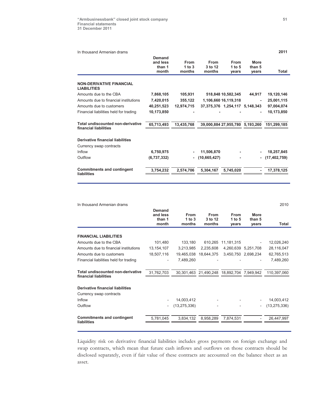In thousand Armenian drams **2011**

|                                                            | Demand<br>and less<br>than 1<br>month | <b>From</b><br>$1$ to $3$<br>months | <b>From</b><br>3 to 12<br>months | <b>From</b><br>1 to $5$<br>years     | More<br>than 5<br>years | Total          |
|------------------------------------------------------------|---------------------------------------|-------------------------------------|----------------------------------|--------------------------------------|-------------------------|----------------|
| <b>NON-DERIVATIVE FINANCIAL</b>                            |                                       |                                     |                                  |                                      |                         |                |
| <b>LIABILITIES</b>                                         |                                       |                                     |                                  |                                      |                         |                |
| Amounts due to the CBA                                     | 7,868,105                             | 105,931                             |                                  | 518,848 10,582,345                   | 44,917                  | 19,120,146     |
| Amounts due to financial institutions                      | 7,420,015                             | 355,122                             |                                  | 1,106,660 16,119,318                 | -                       | 25,001,115     |
| Amounts due to customers                                   | 40,251,523                            | 12,974,715                          |                                  | 37, 375, 376 1, 254, 117 5, 148, 343 |                         | 97,004,074     |
| Financial liabilities held for trading                     | 10,173,850                            |                                     |                                  |                                      | -                       | 10,173,850     |
| Total undiscounted non-derivative<br>financial liabilities | 65,713,493                            | 13,435,768                          |                                  | 39,000,884 27,955,780 5,193,260      |                         | 151,299,185    |
| <b>Derivative financial liabilities</b>                    |                                       |                                     |                                  |                                      |                         |                |
| Currency swap contracts                                    |                                       |                                     |                                  |                                      |                         |                |
| Inflow                                                     | 6,750,975                             |                                     | 11,506,870                       |                                      |                         | 18,257,845     |
| Outflow                                                    | (6,737,332)                           |                                     | (10,665,427)                     |                                      | $\sim$                  | (17, 402, 759) |
| <b>Commitments and contingent</b><br>liabilities           | 3,754,232                             | 2,574,706                           | 5,304,167                        | 5,745,020                            |                         | 17,378,125     |

| In thousand Armenian drams                                 |                                       |                                   |                                            |                                  |                                | 2010           |
|------------------------------------------------------------|---------------------------------------|-----------------------------------|--------------------------------------------|----------------------------------|--------------------------------|----------------|
|                                                            | Demand<br>and less<br>than 1<br>month | <b>From</b><br>1 to $3$<br>months | <b>From</b><br>3 to 12<br>months           | <b>From</b><br>1 to $5$<br>years | <b>More</b><br>than 5<br>years | Total          |
|                                                            |                                       |                                   |                                            |                                  |                                |                |
| <b>FINANCIAL LIABILITIES</b>                               |                                       |                                   |                                            |                                  |                                |                |
| Amounts due to the CBA                                     | 101,480                               | 133,180                           | 610,265                                    | 11, 181, 315                     |                                | 12,026,240     |
| Amounts due to financial institutions                      | 13, 154, 107                          | 3,213,985                         | 2,235,608                                  |                                  | 4,260,639 5,251,708            | 28,116,047     |
| Amounts due to customers                                   | 18,507,116                            | 19,465,038                        | 18,644,375                                 | 3,450,750                        | 2,698,234                      | 62,765,513     |
| Financial liabilities held for trading                     |                                       | 7,489,260                         |                                            |                                  |                                | 7,489,260      |
| Total undiscounted non-derivative<br>financial liabilities | 31,762,703                            |                                   | 30,301,463 21,490,248 18,892,704 7,949,942 |                                  |                                | 110,397,060    |
| Derivative financial liabilities                           |                                       |                                   |                                            |                                  |                                |                |
| Currency swap contracts                                    |                                       |                                   |                                            |                                  |                                |                |
| Inflow                                                     |                                       |                                   |                                            |                                  |                                |                |
|                                                            |                                       | 14,003,412                        |                                            |                                  |                                | 14,003,412     |
| Outflow                                                    |                                       | (13, 275, 336)                    |                                            |                                  |                                | (13, 275, 336) |
| <b>Commitments and contingent</b><br>liabilities           | 5,781,045                             | 3,834,132                         | 8,958,289                                  | 7,874,531                        |                                | 26,447,997     |

Liquidity risk on derivative financial liabilities includes gross payments on foreign exchange and swap contracts, which mean that future cash inflows and outflows on those contracts should be disclosed separately, even if fair value of these contracts are accounted on the balance sheet as an asset.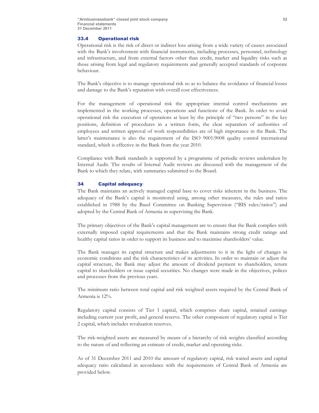## 33.4 Operational risk

Operational risk is the risk of direct or indirect loss arising from a wide variety of causes associated with the Bank's involvement with financial instruments, including processes, personnel, technology and infrastructure, and from external factors other than credit, market and liquidity risks such as those arising from legal and regulatory requirements and generally accepted standards of corporate behaviour.

The Bank's objective is to manage operational risk so as to balance the avoidance of financial losses and damage to the Bank's reputation with overall cost effectiveness.

For the management of operational risk the appropriate internal control mechanisms are implemented in the working processes, operations and functions of the Bank. In order to avoid operational risk the execution of operations at least by the principle of "two persons" in the key positions, definition of procedures in a written form, the clear separation of authorities of employees and written approval of work responsibilities are of high importance in the Bank. The latter's maintenance is also the requirement of the ISO 9001:9008 quality control international standard, which is effective in the Bank from the year 2010.

Compliance with Bank standards is supported by a programme of periodic reviews undertaken by Internal Audit. The results of Internal Audit reviews are discussed with the management of the Bank to which they relate, with summaries submitted to the Board.

## 34 Capital adequacy

The Bank maintains an actively managed capital base to cover risks inherent in the business. The adequacy of the Bank's capital is monitored using, among other measures, the rules and ratios established in 1988 by the Basel Committee on Banking Supervision ("BIS rules/ratios") and adopted by the Central Bank of Armenia in supervising the Bank.

The primary objectives of the Bank's capital management are to ensure that the Bank complies with externally imposed capital requirements and that the Bank maintains strong credit ratings and healthy capital ratios in order to support its business and to maximise shareholders' value.

The Bank manages its capital structure and makes adjustments to it in the light of changes in economic conditions and the risk characteristics of its activities. In order to maintain or adjust the capital structure, the Bank may adjust the amount of dividend payment to shareholders, return capital to shareholders or issue capital securities. No changes were made in the objectives, polices and processes from the previous years.

The minimum ratio between total capital and risk weighted assets required by the Central Bank of Armenia is 12%.

Regulatory capital consists of Tier 1 capital, which comprises share capital, retained earnings including current year profit, and general reserve. The other component of regulatory capital is Tier 2 capital, which includes revaluation reserves.

The risk-weighted assets are measured by means of a hierarchy of risk weights classified according to the nature of and reflecting an estimate of credit, market and operating risks.

As of 31 December 2011 and 2010 the amount of regulatory capital, risk waited assets and capital adequacy ratio calculated in accordance with the requirements of Central Bank of Armenia are provided below.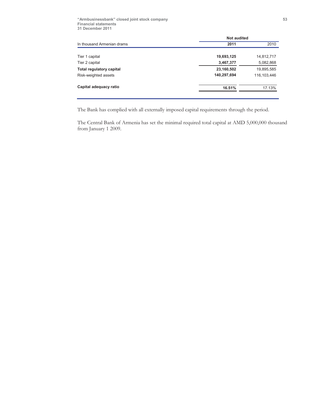#### **"Armbusinessbank" closed joint stock company 53 Financial statements 31 December 2011**

|                                 | Not audited |             |
|---------------------------------|-------------|-------------|
| In thousand Armenian drams      | 2011        | 2010        |
| Tier 1 capital                  | 19,693,125  | 14,812,717  |
| Tier 2 capital                  | 3,467,377   | 5,082,868   |
| <b>Total regulatory capital</b> | 23,160,502  | 19,895,585  |
| Risk-weighted assets            | 140,297,694 | 116,103,446 |
| Capital adequacy ratio          | 16.51%      | 17.13%      |
|                                 |             |             |

The Bank has complied with all externally imposed capital requirements through the period.

The Central Bank of Armenia has set the minimal required total capital at AMD 5,000,000 thousand from January 1 2009.